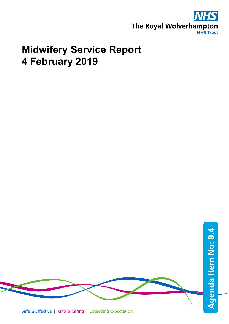

# **Midwifery Service Report 4 February 2019**

Safe & Effective | Kind & Caring | Exceeding Expectation **Agenda Item No: Agenda Item No: 9.4**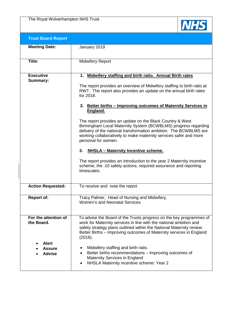The Royal Wolverhampton NHS Trust



| <b>Trust Board Report</b>                                                            |                                                                                                                                                                                                                                                                                                                                                                                                                                                                                                                                                                                                                                                                                                                                                                                                                      |
|--------------------------------------------------------------------------------------|----------------------------------------------------------------------------------------------------------------------------------------------------------------------------------------------------------------------------------------------------------------------------------------------------------------------------------------------------------------------------------------------------------------------------------------------------------------------------------------------------------------------------------------------------------------------------------------------------------------------------------------------------------------------------------------------------------------------------------------------------------------------------------------------------------------------|
| <b>Meeting Date:</b>                                                                 | January 2019                                                                                                                                                                                                                                                                                                                                                                                                                                                                                                                                                                                                                                                                                                                                                                                                         |
| Title:                                                                               | <b>Midwifery Report</b>                                                                                                                                                                                                                                                                                                                                                                                                                                                                                                                                                                                                                                                                                                                                                                                              |
| <b>Executive</b><br>Summary:                                                         | 1. Midwifery staffing and birth ratio. Annual Birth rates<br>The report provides an overview of Midwifery staffing to birth ratio at<br>RWT. The report also provides an update on the annual birth rates<br>for 2018.<br>2. Better births - Improving outcomes of Maternity Services in<br>England.<br>The report provides an update on the Black Country & West<br>Birmingham Local Maternity System (BCWBLMS) progress regarding<br>delivery of the national transformation ambition. The BCWBLMS are<br>working collaboratively to make maternity services safer and more<br>personal for women.<br>3.<br><b>NHSLA - Maternity Incentive scheme.</b><br>The report provides an introduction to the year 2 Maternity incentive<br>scheme, the -10 safety actions, required assurance and reporting<br>timescales. |
| <b>Action Requested:</b>                                                             | To receive and note the report                                                                                                                                                                                                                                                                                                                                                                                                                                                                                                                                                                                                                                                                                                                                                                                       |
| <b>Report of:</b>                                                                    | Tracy Palmer, Head of Nursing and Midwifery,<br>Women's and Neonatal Services                                                                                                                                                                                                                                                                                                                                                                                                                                                                                                                                                                                                                                                                                                                                        |
| For the attention of<br>the Board.<br><b>Alert</b><br><b>Assure</b><br><b>Advise</b> | To advise the Board of the Trusts progress on the key programmes of<br>work for Maternity services in line with the national ambition and<br>safety strategy plans outlined within the National Maternity review:<br>Better Births – Improving outcomes of Maternity services in England<br>(2016).<br>Midwifery staffing and birth ratio.<br>Better births recommendations – Improving outcomes of<br>Maternity Services in England<br>NHSLA Maternity incentive scheme: Year 2                                                                                                                                                                                                                                                                                                                                     |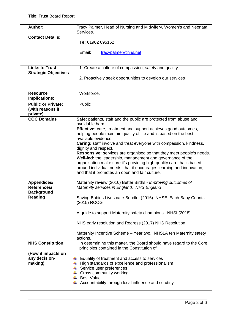| <b>Author:</b>                   | Tracy Palmer, Head of Nursing and Midwifery, Women's and Neonatal<br>Services.              |
|----------------------------------|---------------------------------------------------------------------------------------------|
| <b>Contact Details:</b>          | Tel: 01902 695162                                                                           |
|                                  | Email:<br>tracypalmer@nhs.net                                                               |
|                                  |                                                                                             |
| <b>Links to Trust</b>            | 1. Create a culture of compassion, safety and quality.                                      |
| <b>Strategic Objectives</b>      |                                                                                             |
|                                  | 2. Proactively seek opportunities to develop our services                                   |
|                                  |                                                                                             |
|                                  |                                                                                             |
| <b>Resource</b><br>Implications: | Workforce.                                                                                  |
| <b>Public or Private:</b>        | Public                                                                                      |
| (with reasons if                 |                                                                                             |
| private)<br><b>CQC Domains</b>   |                                                                                             |
|                                  | Safe: patients, staff and the public are protected from abuse and<br>avoidable harm.        |
|                                  | Effective: care, treatment and support achieves good outcomes,                              |
|                                  | helping people maintain quality of life and is based on the best                            |
|                                  | available evidence.                                                                         |
|                                  | Caring: staff involve and treat everyone with compassion, kindness,<br>dignity and respect. |
|                                  | <b>Responsive:</b> services are organised so that they meet people's needs.                 |
|                                  | Well-led: the leadership, management and governance of the                                  |
|                                  | organisation make sure it's providing high-quality care that's based                        |
|                                  | around individual needs, that it encourages learning and innovation,                        |
|                                  | and that it promotes an open and fair culture.                                              |
| <b>Appendices/</b>               | Maternity review (2016) Better Births - Improving outcomes of                               |
| References/                      | Maternity services in England. NHS England                                                  |
| <b>Background</b><br>Reading     |                                                                                             |
|                                  | Saving Babies Lives care Bundle. (2016) NHSE Each Baby Counts<br>(2015) RCOG                |
|                                  |                                                                                             |
|                                  | A guide to support Maternity safety champions. NHSI (2018)                                  |
|                                  | NHS early resolution and Redress (2017) NHS Resolution                                      |
|                                  | Maternity Incentive Scheme - Year two. NHSLA ten Maternity safety                           |
| <b>NHS Constitution:</b>         | actions.<br>In determining this matter, the Board should have regard to the Core            |
|                                  | principles contained in the Constitution of:                                                |
| (How it impacts on               |                                                                                             |
| any decision-                    | Equality of treatment and access to services                                                |
| making)                          | High standards of excellence and professionalism                                            |
|                                  | Service user preferences                                                                    |
|                                  | Cross community working<br><b>Best Value</b>                                                |
|                                  | Accountability through local influence and scrutiny                                         |
|                                  |                                                                                             |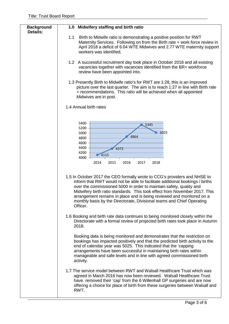| <b>Background</b><br><b>Details:</b> | 1.0 Midwifery staffing and birth ratio                                                                                                                                                                                                                                                                                                                                                                                                                                                                                                                           |
|--------------------------------------|------------------------------------------------------------------------------------------------------------------------------------------------------------------------------------------------------------------------------------------------------------------------------------------------------------------------------------------------------------------------------------------------------------------------------------------------------------------------------------------------------------------------------------------------------------------|
|                                      | 1.1<br>Birth to Midwife ratio is demonstrating a positive position for RWT<br>Maternity Services. Following on from the Birth rate + work force review in<br>April 2018 a deficit of 6.04 WTE Midwives and 2.77 WTE maternity support<br>workers was identified.                                                                                                                                                                                                                                                                                                 |
|                                      | 1.2 A successful recruitment day took place in October 2018 and all existing<br>vacancies together with vacancies identified from the BR+ workforce<br>review have been appointed into.                                                                                                                                                                                                                                                                                                                                                                          |
|                                      | 1.3 Presently Birth to Midwife ratio's for RWT are 1:28, this is an improved<br>picture over the last quarter. The aim is to reach 1:27 in line with Birth rate<br>+ recommendations. This ratio will be achieved when all appointed<br>Midwives are in post.                                                                                                                                                                                                                                                                                                    |
|                                      | 1.4 Annual birth rates                                                                                                                                                                                                                                                                                                                                                                                                                                                                                                                                           |
|                                      | 5400<br>5345<br>5200<br>5025<br>5000<br>4864<br>4800<br>4600<br>4400<br>4372<br>4200<br>4115<br>4000<br>2014<br>2015<br>2018<br>2016<br>2017                                                                                                                                                                                                                                                                                                                                                                                                                     |
|                                      | 1.5 In October 2017 the CEO formally wrote to CCG's providers and NHSE to<br>inform that RWT would not be able to facilitate additional bookings / births<br>over the commissioned 5000 in order to maintain safety, quality and<br>Midwifery birth ratio standards. This took effect from November 2017. This<br>arrangement remains in place and is being reviewed and monitored on a<br>monthly basis by the Directorate, Divisional teams and Chief Operating<br>Officer.<br>1.6 Booking and birth rate data continues to being monitored closely within the |
|                                      | Directorate with a formal review of projected birth rates took place in Autumn<br>2018.                                                                                                                                                                                                                                                                                                                                                                                                                                                                          |
|                                      | Booking data is being monitored and demonstrates that the restriction on<br>bookings has impacted positively and that the predicted birth activity to the<br>end of calendar year was 5025. This indicated that the 'capping<br>arrangements have been successful in maintaining birth rates within<br>manageable and safe levels and in line with agreed commissioned birth<br>activity.                                                                                                                                                                        |
|                                      | 1.7 The service model between RWT and Walsall Healthcare Trust which was<br>agreed in March 2016 has now been reviewed. Walsall Healthcare Trust<br>have removed their 'cap' from the 6 Willenhall GP surgeries and are now<br>offering a choice for place of birth from these surgeries between Walsall and<br>RWT.                                                                                                                                                                                                                                             |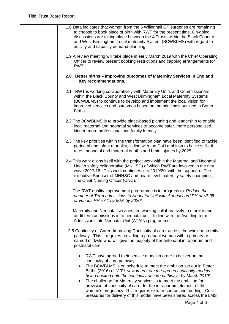| 1.8 Data indicates that women from the 6 Willenhall GP surgeries are remaining<br>to choose to book place of birth with RWT for the present time. On-going<br>discussions are taking place between the 4 Trusts within the Black Country<br>and West Birmingham Local maternity System (BCWBLMS) with regard to<br>activity and capacity demand planning.                                                                                                                                                                                                                                                                     |
|-------------------------------------------------------------------------------------------------------------------------------------------------------------------------------------------------------------------------------------------------------------------------------------------------------------------------------------------------------------------------------------------------------------------------------------------------------------------------------------------------------------------------------------------------------------------------------------------------------------------------------|
| 1.9 A review meeting will take place in early March 2019 with the Chief Operating<br>Officer to review present booking restrictions and capping arrangements for<br>RWT.                                                                                                                                                                                                                                                                                                                                                                                                                                                      |
| 2.0 Better births – Improving outcomes of Maternity Services in England<br>Key recommendations.                                                                                                                                                                                                                                                                                                                                                                                                                                                                                                                               |
| 2.1 RWT is working collaboratively with Maternity Units and Commissioners<br>within the Black County and West Birmingham Local Maternity Systems<br>(BCWBLMS) to continue to develop and implement the local vision for<br>improved services and outcomes based on the principals outlined in Better<br>Births                                                                                                                                                                                                                                                                                                                |
| 2.2 The BCWBLMS is to provide place-based planning and leadership to enable<br>local maternal and neonatal services to become safer, more personalised,<br>kinder, more professional and family friendly.                                                                                                                                                                                                                                                                                                                                                                                                                     |
| 2.3 The key priorities within the transformation plan have been identified to tackle<br>perinatal and infant mortality, in line with the DoH ambition to halve stillbirth<br>rates, neonatal and maternal deaths and brain injuries by 2025.                                                                                                                                                                                                                                                                                                                                                                                  |
| 2.4 This work aligns itself with the project work within the Maternal and Neonatal<br>Health safety collaborative (MNHSC) of which RWT are involved in the first<br>wave 2017/18. This work continues into 2019/20, with the support of The<br>executive Sponsor of MNHSC and board level maternity safety champion;<br>The Chief Nursing Officer (CNO).                                                                                                                                                                                                                                                                      |
| The RWT quality improvement programme is in progress to 'Reduce the<br>number of Term admissions to Neonatal Unit with Arterial cord PH of <7.05<br>or venous PH <7.1 by 50% by 2020'.                                                                                                                                                                                                                                                                                                                                                                                                                                        |
| Maternity and Neonatal services are working collaboratively to monitor and<br>audit term admissions in to neonatal unit. In line with the Avoiding term<br>Admissions into Neonatal Unit (ATAIN) programme.                                                                                                                                                                                                                                                                                                                                                                                                                   |
| 2.5 Continuity of Carer: Improving Continuity of carer across the whole maternity<br>pathway. This requires providing a pregnant woman with a primary or<br>named midwife who will give the majority of her antenatal intrapartum and<br>postnatal care.                                                                                                                                                                                                                                                                                                                                                                      |
| RWT have agreed their service model in order to deliver on the<br>continuity of care pathway.<br>The BCWBLMS is on schedule to meet the ambition set out in Better<br>$\bullet$<br>Births (2016) of "20% of women from the agreed continuity models<br>being booked onto the continuity of care pathways by March 2019".<br>The challenge for Maternity services is to meet the ambition for<br>$\bullet$<br>provision of continuity of carer for the intrapartum element of the<br>woman's pregnancy. This requires extra resource and funding. Cost<br>pressures for delivery of this model have been shared across the LMS |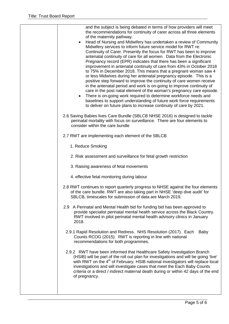| and the subject is being debated in terms of how providers will meet<br>the recommendations for continuity of carer across all three elements<br>of the maternity pathway.<br>Head of Nursing and Midwifery has undertaken a review of Community<br>$\bullet$<br>Midwifery services to inform future service model for RWT re:<br>Continuity of Carer. Presently the focus for RWT has been to improve<br>antenatal continuity of care for all women. Data from the Electronic<br>Pregnancy record (EPR) indicates that there has been a significant<br>improvement in antenatal continuity of care from 43% in October 2018<br>to 75% in December 2018. This means that a pregnant woman saw 4<br>or less Midwives during her antenatal pregnancy episode. This is a<br>positive step forward to improve the continuity of care women receive<br>in the antenatal period and work is on-going to improve continuity of<br>care in the post natal element of the woman's pregnancy care episode.<br>There is on-going work required to determine workforce needs and<br>baselines to support understanding of future work force requirements<br>to deliver on future plans to increase continuity of care by 2021. |
|--------------------------------------------------------------------------------------------------------------------------------------------------------------------------------------------------------------------------------------------------------------------------------------------------------------------------------------------------------------------------------------------------------------------------------------------------------------------------------------------------------------------------------------------------------------------------------------------------------------------------------------------------------------------------------------------------------------------------------------------------------------------------------------------------------------------------------------------------------------------------------------------------------------------------------------------------------------------------------------------------------------------------------------------------------------------------------------------------------------------------------------------------------------------------------------------------------------------|
| 2.6 Saving Babies lives Care Bundle (SBLCB NHSE 2016) is designed to tackle<br>perinatal mortality with focus on surveillance. There are four elements to<br>consider within the care bundle                                                                                                                                                                                                                                                                                                                                                                                                                                                                                                                                                                                                                                                                                                                                                                                                                                                                                                                                                                                                                       |
| 2.7 RWT are implementing each element of the SBLCB                                                                                                                                                                                                                                                                                                                                                                                                                                                                                                                                                                                                                                                                                                                                                                                                                                                                                                                                                                                                                                                                                                                                                                 |
| 1. Reduce Smoking                                                                                                                                                                                                                                                                                                                                                                                                                                                                                                                                                                                                                                                                                                                                                                                                                                                                                                                                                                                                                                                                                                                                                                                                  |
| 2. Risk assessment and surveillance for fetal growth restriction                                                                                                                                                                                                                                                                                                                                                                                                                                                                                                                                                                                                                                                                                                                                                                                                                                                                                                                                                                                                                                                                                                                                                   |
| 3. Raising awareness of fetal movements                                                                                                                                                                                                                                                                                                                                                                                                                                                                                                                                                                                                                                                                                                                                                                                                                                                                                                                                                                                                                                                                                                                                                                            |
| 4. effective fetal monitoring during labour                                                                                                                                                                                                                                                                                                                                                                                                                                                                                                                                                                                                                                                                                                                                                                                                                                                                                                                                                                                                                                                                                                                                                                        |
| 2.8 RWT continues to report quarterly progress to NHSE against the four elements<br>of the care bundle. RWT are also taking part in NHSE 'deep dive audit' for<br>SBLCB, timescales for submission of data are March 2019.                                                                                                                                                                                                                                                                                                                                                                                                                                                                                                                                                                                                                                                                                                                                                                                                                                                                                                                                                                                         |
| 2.9 A Perinatal and Mental Health bid for funding bid has been approved to<br>provide specialist perinatal mental health service across the Black Country.<br>RWT involved in pilot perinatal mental health advisory clinics in January<br>2018.                                                                                                                                                                                                                                                                                                                                                                                                                                                                                                                                                                                                                                                                                                                                                                                                                                                                                                                                                                   |
| 2.9.1 Rapid Resolution and Redress. NHS Resolution (2017). Each<br>Baby<br>Counts RCOG (2015). RWT is reporting in line with national<br>recommendations for both programmes.                                                                                                                                                                                                                                                                                                                                                                                                                                                                                                                                                                                                                                                                                                                                                                                                                                                                                                                                                                                                                                      |
| 2.9.2 RWT have been informed that Healthcare Safety Investigation Branch<br>(HSIB) will be part of the roll out plan for investigations and will be going 'live'<br>with RWT on the 4 <sup>th</sup> of February. HSIB national investigators will replace local<br>investigations and will investigate cases that meet the Each Baby Counts<br>criteria or a direct / indirect maternal death during or within 42 days of the end<br>of pregnancy.                                                                                                                                                                                                                                                                                                                                                                                                                                                                                                                                                                                                                                                                                                                                                                 |
|                                                                                                                                                                                                                                                                                                                                                                                                                                                                                                                                                                                                                                                                                                                                                                                                                                                                                                                                                                                                                                                                                                                                                                                                                    |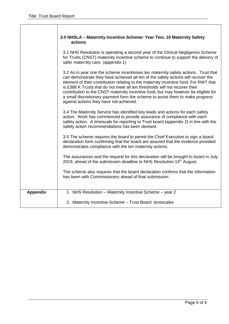|                 | 3.0 NHSLA - Maternity Incentive Scheme: Year Two. 10 Maternity Safety<br>actions                                                                                                                                                                                                                                                                                                                                                                                                                                                                                  |
|-----------------|-------------------------------------------------------------------------------------------------------------------------------------------------------------------------------------------------------------------------------------------------------------------------------------------------------------------------------------------------------------------------------------------------------------------------------------------------------------------------------------------------------------------------------------------------------------------|
|                 | 3.1 NHS Resolution is operating a second year of the Clinical Negligence Scheme<br>for Trusts (CNST) maternity incentive scheme to continue to support the delivery of<br>safer maternity care. (appendix 1)                                                                                                                                                                                                                                                                                                                                                      |
|                 | 3.2 As in year one the scheme incentivises ten maternity safety actions. Trust that<br>can demonstrate they have achieved all ten of the safety actions will recover the<br>element of their contribution relating to the maternity incentive fund. For RWT that<br>is £388 K Trusts that do not meet all ten thresholds will not recover their<br>contribution to the CNST maternity incentive fund, but may however be eligible for<br>a small discretionary payment form the scheme to assist them to make progress<br>against actions they have not achieved. |
|                 | 3.4 The Maternity Service has identified key leads and actions for each safety<br>action. Work has commenced to provide assurance of compliance with each<br>safety action. A timescale for reporting to Trust board (appendix 2) in line with the<br>safety action recommendations has been devised.                                                                                                                                                                                                                                                             |
|                 | 3.5 The scheme requires the board to permit the Chief Executive to sign a board<br>declaration form confirming that the board are assured that the evidence provided<br>demonstrates compliance with the ten maternity actions.                                                                                                                                                                                                                                                                                                                                   |
|                 | The assurances and the request for this declaration will be brought to board in July<br>2019, ahead of the submission deadline to NHS Resolution 15 <sup>th</sup> August.                                                                                                                                                                                                                                                                                                                                                                                         |
|                 | The scheme also requires that the board declaration confirms that the information<br>has been with Commissioners ahead of final submission.                                                                                                                                                                                                                                                                                                                                                                                                                       |
| <b>Appendix</b> | 1. NHS Resolution - Maternity Incentive Scheme - year 2                                                                                                                                                                                                                                                                                                                                                                                                                                                                                                           |
|                 | 2. Maternity Incentive Scheme - Trust Board timescales                                                                                                                                                                                                                                                                                                                                                                                                                                                                                                            |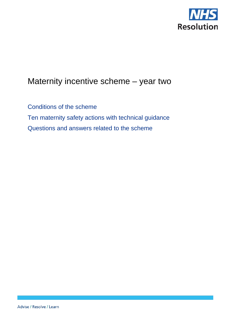

# Maternity incentive scheme – year two

Conditions of the scheme Ten maternity safety actions with technical guidance Questions and answers related to the scheme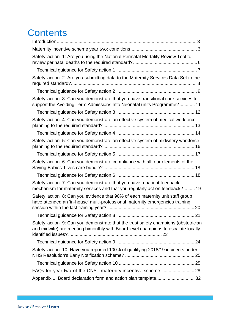# **Contents**

| Safety action 1: Are you using the National Perinatal Mortality Review Tool to                                                                                          |
|-------------------------------------------------------------------------------------------------------------------------------------------------------------------------|
|                                                                                                                                                                         |
| Safety action 2: Are you submitting data to the Maternity Services Data Set to the                                                                                      |
|                                                                                                                                                                         |
| Safety action 3: Can you demonstrate that you have transitional care services to<br>support the Avoiding Term Admissions Into Neonatal units Programme? 11              |
|                                                                                                                                                                         |
| Safety action 4: Can you demonstrate an effective system of medical workforce                                                                                           |
|                                                                                                                                                                         |
| Safety action 5: Can you demonstrate an effective system of midwifery workforce                                                                                         |
|                                                                                                                                                                         |
| Safety action 6: Can you demonstrate compliance with all four elements of the                                                                                           |
|                                                                                                                                                                         |
| Safety action 7: Can you demonstrate that you have a patient feedback<br>mechanism for maternity services and that you regularly act on feedback? 19                    |
| Safety action 8: Can you evidence that 90% of each maternity unit staff group<br>have attended an 'in-house' multi-professional maternity emergencies training          |
|                                                                                                                                                                         |
| Safety action 9: Can you demonstrate that the trust safety champions (obstetrician<br>and midwife) are meeting bimonthly with Board level champions to escalate locally |
|                                                                                                                                                                         |
| Safety action 10: Have you reported 100% of qualifying 2018/19 incidents under                                                                                          |
|                                                                                                                                                                         |
|                                                                                                                                                                         |
| Appendix 1: Board declaration form and action plan template 32                                                                                                          |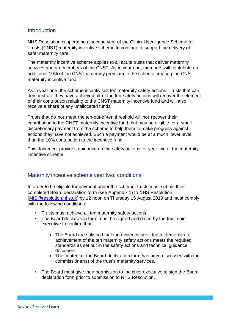#### **Introduction**

NHS Resolution is operating a second year of the Clinical Negligence Scheme for Trusts (CNST) maternity incentive scheme to continue to support the delivery of safer maternity care.

The maternity incentive scheme applies to all acute trusts that deliver maternity services and are members of the CNST. As in year one, members will contribute an additional 10% of the CNST maternity premium to the scheme creating the CNST maternity incentive fund.

As in year one, the scheme incentivises ten maternity safety actions. Trusts that can demonstrate they have achieved all of the ten safety actions will recover the element of their contribution relating to the CNST maternity incentive fund and will also receive a share of any unallocated funds.

Trusts that do not meet the ten-out-of-ten threshold will not recover their contribution to the CNST maternity incentive fund, but may be eligible for a small discretionary payment from the scheme to help them to make progress against actions they have not achieved. Such a payment would be at a much lower level than the 10% contribution to the incentive fund.

This document provides guidance on the safety actions for year two of the maternity incentive scheme.

#### Maternity incentive scheme year two: conditions

In order to be eligible for payment under the scheme, trusts must submit their completed Board declaration form (see Appendix 1) to NHS Resolution [\(MIS@resolution.nhs.uk\)](mailto:MIS@resolution.nhs.uk) by 12 noon on Thursday 15 August 2019 and must comply with the following conditions:

- Trusts must achieve all ten maternity safety actions
- The Board declaration form must be signed and dated by the trust chief executive to confirm that:
	- o The Board are satisfied that the evidence provided to demonstrate achievement of the ten maternity safety actions meets the required standards as set out in the safety actions and technical guidance document.
	- $\circ$  The content of the Board declaration form has been discussed with the commissioner(s) of the trust's maternity services.
- The Board must give their permission to the chief executive to sign the Board declaration form prior to submission to NHS Resolution.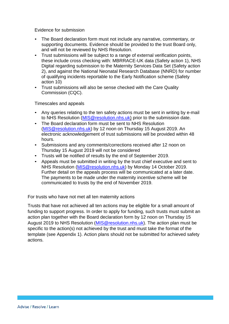Evidence for submission

- The Board declaration form must not include any narrative, commentary, or supporting documents. Evidence should be provided to the trust Board only, and will not be reviewed by NHS Resolution.
- Trust submissions will be subject to a range of external verification points, these include cross checking with: MBRRACE-UK data (Safety action 1), NHS Digital regarding submission to the Maternity Services Data Set (Safety action 2), and against the National Neonatal Research Database (NNRD) for number of qualifying incidents reportable to the Early Notification scheme (Safety action 10)
- Trust submissions will also be sense checked with the Care Quality Commission (CQC).

Timescales and appeals

- Any queries relating to the ten safety actions must be sent in writing by e-mail to NHS Resolution [\(MIS@resolution.nhs.uk\)](mailto:MIS@resolution.nhs.uk) prior to the submission date.
- The Board declaration form must be sent to NHS Resolution [\(MIS@resolution.nhs.uk\)](mailto:MIS@resolution.nhs.uk) by 12 noon on Thursday 15 August 2019. An electronic acknowledgement of trust submissions will be provided within 48 hours.
- Submissions and any comments/corrections received after 12 noon on Thursday 15 August 2019 will not be considered
- Trusts will be notified of results by the end of September 2019.
- Appeals must be submitted in writing by the trust chief executive and sent to NHS Resolution [\(MIS@resolution.nhs.uk\)](mailto:MIS@resolution.nhs.uk) by Monday 14 October 2019. Further detail on the appeals process will be communicated at a later date. The payments to be made under the maternity incentive scheme will be communicated to trusts by the end of November 2019.

For trusts who have not met all ten maternity actions

Trusts that have not achieved all ten actions may be eligible for a small amount of funding to support progress. In order to apply for funding, such trusts must submit an action plan together with the Board declaration form by 12 noon on Thursday 15 August 2019 to NHS Resolution [\(MIS@resolution.nhs.uk\)](mailto:MIS@resolution.nhs.uk). The action plan must be specific to the action(s) not achieved by the trust and must take the format of the template (see Appendix 1). Action plans should not be submitted for achieved safety actions.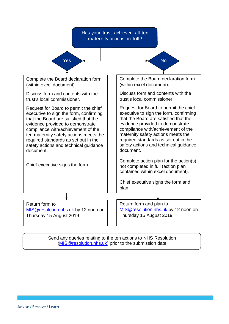

Send any queries relating to the ten actions to NHS Resolution [\(MIS@resolution.nhs.uk\)](mailto:MIS@resolution.nhs.uk) prior to the submission date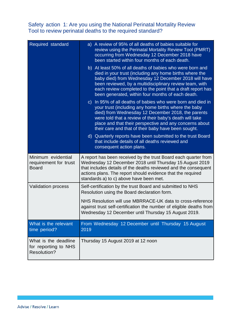#### Safety action 1: Are you using the National Perinatal Mortality Review Tool to review perinatal deaths to the required standard?

| Required standard                                                  | a) A review of 95% of all deaths of babies suitable for<br>review using the Perinatal Mortality Review Tool (PMRT)<br>occurring from Wednesday 12 December 2018 have<br>been started within four months of each death.                                                                                                                                     |
|--------------------------------------------------------------------|------------------------------------------------------------------------------------------------------------------------------------------------------------------------------------------------------------------------------------------------------------------------------------------------------------------------------------------------------------|
|                                                                    | b) At least 50% of all deaths of babies who were born and<br>died in your trust (including any home births where the<br>baby died) from Wednesday 12 December 2018 will have<br>been reviewed, by a multidisciplinary review team, with<br>each review completed to the point that a draft report has<br>been generated, within four months of each death. |
|                                                                    | c) In 95% of all deaths of babies who were born and died in<br>your trust (including any home births where the baby<br>died) from Wednesday 12 December 2018, the parents<br>were told that a review of their baby's death will take<br>place and that their perspective and any concerns about<br>their care and that of their baby have been sought.     |
|                                                                    | d) Quarterly reports have been submitted to the trust Board<br>that include details of all deaths reviewed and<br>consequent action plans.                                                                                                                                                                                                                 |
| Minimum evidential<br>requirement for trust<br><b>Board</b>        | A report has been received by the trust Board each quarter from<br>Wednesday 12 December 2018 until Thursday 15 August 2019<br>that includes details of the deaths reviewed and the consequent<br>actions plans. The report should evidence that the required<br>standards a) to c) above have been met.                                                   |
| <b>Validation process</b>                                          | Self-certification by the trust Board and submitted to NHS<br>Resolution using the Board declaration form.                                                                                                                                                                                                                                                 |
|                                                                    | NHS Resolution will use MBRRACE-UK data to cross-reference<br>against trust self-certification the number of eligible deaths from<br>Wednesday 12 December until Thursday 15 August 2019.                                                                                                                                                                  |
| What is the relevant<br>time period?                               | From Wednesday 12 December until Thursday 15 August<br>2019                                                                                                                                                                                                                                                                                                |
| What is the deadline<br>for reporting to NHS<br><b>Resolution?</b> | Thursday 15 August 2019 at 12 noon                                                                                                                                                                                                                                                                                                                         |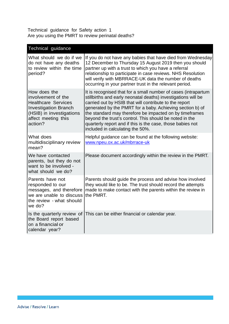Technical guidance for Safety action 1 Are you using the PMRT to review perinatal deaths?

| Technical guidance                                                                                                                                            |                                                                                                                                                                                                                                                                                                                                                                                                                                                                                |
|---------------------------------------------------------------------------------------------------------------------------------------------------------------|--------------------------------------------------------------------------------------------------------------------------------------------------------------------------------------------------------------------------------------------------------------------------------------------------------------------------------------------------------------------------------------------------------------------------------------------------------------------------------|
| What should we do if we<br>do not have any deaths<br>to review within the time<br>period?                                                                     | If you do not have any babies that have died from Wednesday<br>12 December to Thursday 15 August 2019 then you should<br>partner up with a trust to which you have a referral<br>relationship to participate in case reviews. NHS Resolution<br>will verify with MBRRACE-UK data the number of deaths<br>occurring in your partner trust in the relevant period.                                                                                                               |
| How does the<br>involvement of the<br><b>Healthcare Services</b><br><b>Investigation Branch</b><br>(HSIB) in investigations<br>affect meeting this<br>action? | It is recognised that for a small number of cases (intrapartum<br>stillbirths and early neonatal deaths) investigations will be<br>carried out by HSIB that will contribute to the report<br>generated by the PMRT for a baby. Achieving section b) of<br>the standard may therefore be impacted on by timeframes<br>beyond the trust's control. This should be noted in the<br>quarterly report and if this is the case, those babies not<br>included in calculating the 50%. |
| What does<br>multidisciplinary review<br>mean?                                                                                                                | Helpful guidance can be found at the following website:<br>www.npeu.ox.ac.uk/mbrrace-uk                                                                                                                                                                                                                                                                                                                                                                                        |
| We have contacted<br>parents, but they do not<br>want to be involved -<br>what should we do?                                                                  | Please document accordingly within the review in the PMRT.                                                                                                                                                                                                                                                                                                                                                                                                                     |
| Parents have not<br>responded to our<br>messages, and therefore<br>we are unable to discuss<br>the review - what should<br>we do?                             | Parents should guide the process and advise how involved<br>they would like to be. The trust should record the attempts<br>made to make contact with the parents within the review in<br>the PMRT.                                                                                                                                                                                                                                                                             |
| Is the quarterly review of<br>the Board report based<br>on a financial or<br>calendar year?                                                                   | This can be either financial or calendar year.                                                                                                                                                                                                                                                                                                                                                                                                                                 |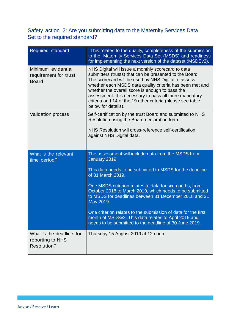## Safety action 2: Are you submitting data to the Maternity Services Data Set to the required standard?

| Required standard                                                  | This relates to the quality, completeness of the submission<br>to the Maternity Services Data Set (MSDS) and readiness<br>for implementing the next version of the dataset (MSDSv2).                                                                                                                                                                                                                                                                                                                                                 |
|--------------------------------------------------------------------|--------------------------------------------------------------------------------------------------------------------------------------------------------------------------------------------------------------------------------------------------------------------------------------------------------------------------------------------------------------------------------------------------------------------------------------------------------------------------------------------------------------------------------------|
| Minimum evidential<br>requirement for trust<br><b>Board</b>        | NHS Digital will issue a monthly scorecard to data<br>submitters (trusts) that can be presented to the Board.<br>The scorecard will be used by NHS Digital to assess<br>whether each MSDS data quality criteria has been met and<br>whether the overall score is enough to pass the<br>assessment. It is necessary to pass all three mandatory<br>criteria and 14 of the 19 other criteria (please see table<br>below for details).                                                                                                  |
| <b>Validation process</b>                                          | Self-certification by the trust Board and submitted to NHS<br>Resolution using the Board declaration form.<br>NHS Resolution will cross-reference self-certification<br>against NHS Digital data.                                                                                                                                                                                                                                                                                                                                    |
| What is the relevant<br>time period?                               | The assessment will include data from the MSDS from<br>January 2019.<br>This data needs to be submitted to MSDS for the deadline<br>of 31 March 2019.<br>One MSDS criterion relates to data for six months, from<br>October 2018 to March 2019, which needs to be submitted<br>to MSDS for deadlines between 31 December 2018 and 31<br>May 2019.<br>One criterion relates to the submission of data for the first<br>month of MSDSv2. This data relates to April 2019 and<br>needs to be submitted to the deadline of 30 June 2019. |
| What is the deadline for<br>reporting to NHS<br><b>Resolution?</b> | Thursday 15 August 2019 at 12 noon                                                                                                                                                                                                                                                                                                                                                                                                                                                                                                   |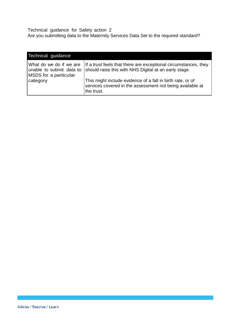Technical guidance for Safety action 2 Are you submitting data to the Maternity Services Data Set to the required standard?

| Technical guidance                                                           |                                                                                                                                       |
|------------------------------------------------------------------------------|---------------------------------------------------------------------------------------------------------------------------------------|
| What do we do if we are<br>unable to submit data to<br>MSDS for a particular | If a trust feels that there are exceptional circumstances, they<br>should raise this with NHS Digital at an early stage.              |
| category                                                                     | This might include evidence of a fall in birth rate, or of<br>services covered in the assessment not being available at<br>the trust. |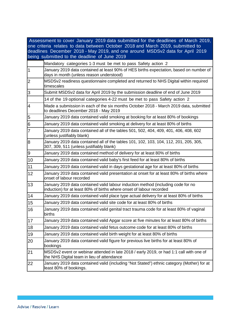|                | Assessment to cover January 2019 data submitted for the deadlines of March 2019,                                                                         |
|----------------|----------------------------------------------------------------------------------------------------------------------------------------------------------|
|                | one criteria relates to data between October 2018 and March 2019, submitted to                                                                           |
|                | deadlines December 2018 - May 2019, and one around MSDSv2 data for April 2019                                                                            |
|                | being submitted to the deadline of June 2019                                                                                                             |
|                | Mandatory categories 1-3 must be met to pass Safety action 2                                                                                             |
| $\overline{1}$ | January 2019 data contained at least 90% of HES births expectation, based on number of<br>days in month (unless reason understood)                       |
| $\overline{2}$ | MSDSv2 readiness questionnaire completed and returned to NHS Digital within required<br>timescales                                                       |
| 3              | Submit MSDSv2 data for April 2019 by the submission deadline of end of June 2019                                                                         |
|                | 14 of the 19 optional categories 4-22 must be met to pass Safety action 2                                                                                |
| 4              | Made a submission in each of the six months October 2018 - March 2019 data, submitted<br>to deadlines December 2018 - May 2019                           |
| 5              | January 2019 data contained valid smoking at booking for at least 80% of bookings                                                                        |
| 6              | January 2019 data contained valid smoking at delivery for at least 80% of births                                                                         |
| 7              | January 2019 data contained all of the tables 501, 502, 404, 409, 401, 406, 408, 602<br>(unless justifiably blank)                                       |
| 8              | January 2019 data contained all of the tables 101, 102, 103, 104, 112, 201, 205, 305,<br>307, 309, 511 (unless justifiably blank)                        |
| 9              | January 2019 data contained method of delivery for at least 80% of births                                                                                |
| 10             | January 2019 data contained valid baby's first feed for at least 80% of births                                                                           |
| 11             | January 2019 data contained valid in days gestational age for at least 80% of births                                                                     |
| 12             | January 2019 data contained valid presentation at onset for at least 80% of births where<br>onset of labour recorded                                     |
| 13             | January 2019 data contained valid labour induction method (including code for no<br>induction) for at least 80% of births where onset of labour recorded |
| 14             | January 2019 data contained valid place type actual delivery for at least 80% of births                                                                  |
| 15             | January 2019 data contained valid site code for at least 80% of births                                                                                   |
| 16             | January 2019 data contained valid genital tract trauma code for at least 80% of vaginal<br>births                                                        |
| 17             | January 2019 data contained valid Apgar score at five minutes for at least 80% of births                                                                 |
| 18             | January 2019 data contained valid fetus outcome code for at least 80% of births                                                                          |
| 19             | January 2019 data contained valid birth weight for at least 80% of births                                                                                |
| 20             | January 2019 data contained valid figure for previous live births for at least 80% of<br>bookings                                                        |
| 21             | MSDSv2 event or webinar attended in late 2018 / early 2019, or had 1:1 call with one of<br>the NHS Digital team in lieu of attendance                    |
| 22             | January 2019 data contained valid (including "Not Stated") ethnic category (Mother) for at<br>least 80% of bookings.                                     |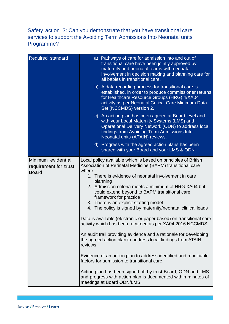### Safety action 3: Can you demonstrate that you have transitional care services to support the Avoiding Term Admissions Into Neonatal units Programme?

| Required standard                                           | a) Pathways of care for admission into and out of<br>transitional care have been jointly approved by<br>maternity and neonatal teams with neonatal<br>involvement in decision making and planning care for<br>all babies in transitional care.                                                                                                                                                                                                                                                                                                                                                                                                                                                                                                                                                                                                                                                                                                                                               |  |
|-------------------------------------------------------------|----------------------------------------------------------------------------------------------------------------------------------------------------------------------------------------------------------------------------------------------------------------------------------------------------------------------------------------------------------------------------------------------------------------------------------------------------------------------------------------------------------------------------------------------------------------------------------------------------------------------------------------------------------------------------------------------------------------------------------------------------------------------------------------------------------------------------------------------------------------------------------------------------------------------------------------------------------------------------------------------|--|
|                                                             | b) A data recording process for transitional care is<br>established, in order to produce commissioner returns<br>for Healthcare Resource Groups (HRG) 4/XA04<br>activity as per Neonatal Critical Care Minimum Data<br>Set (NCCMDS) version 2.                                                                                                                                                                                                                                                                                                                                                                                                                                                                                                                                                                                                                                                                                                                                               |  |
|                                                             | c) An action plan has been agreed at Board level and<br>with your Local Maternity Systems (LMS) and<br>Operational Delivery Network (ODN) to address local<br>findings from Avoiding Term Admissions Into<br>Neonatal units (ATAIN) reviews.                                                                                                                                                                                                                                                                                                                                                                                                                                                                                                                                                                                                                                                                                                                                                 |  |
|                                                             | d) Progress with the agreed action plans has been<br>shared with your Board and your LMS & ODN                                                                                                                                                                                                                                                                                                                                                                                                                                                                                                                                                                                                                                                                                                                                                                                                                                                                                               |  |
| Minimum evidential<br>requirement for trust<br><b>Board</b> | Local policy available which is based on principles of British<br>Association of Perinatal Medicine (BAPM) transitional care<br>where:<br>1. There is evidence of neonatal involvement in care<br>planning<br>2. Admission criteria meets a minimum of HRG XA04 but<br>could extend beyond to BAPM transitional care<br>framework for practice<br>3. There is an explicit staffing model<br>4. The policy is signed by maternity/neonatal clinical leads<br>Data is available (electronic or paper based) on transitional care<br>activity which has been recorded as per XA04 2016 NCCMDS.<br>An audit trail providing evidence and a rationale for developing<br>the agreed action plan to address local findings from ATAIN<br>reviews.<br>Evidence of an action plan to address identified and modifiable<br>factors for admission to transitional care.<br>Action plan has been signed off by trust Board, ODN and LMS<br>and progress with action plan is documented within minutes of |  |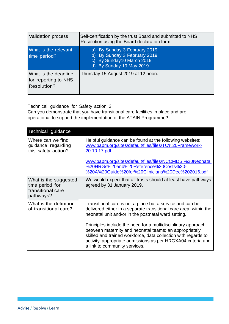| <b>Validation process</b>                                   | Self-certification by the trust Board and submitted to NHS<br>Resolution using the Board declaration form                                       |
|-------------------------------------------------------------|-------------------------------------------------------------------------------------------------------------------------------------------------|
| What is the relevant<br>time period?                        | a) By Sunday 3 February 2019<br>By Sunday 3 February 2019<br>$\mathsf{b}$<br>By Sunday10 March 2019<br>$\mathsf{C}$<br>d) By Sunday 19 May 2019 |
| What is the deadline<br>for reporting to NHS<br>Resolution? | Thursday 15 August 2019 at 12 noon.                                                                                                             |

Technical guidance for Safety action 3

Can you demonstrate that you have transitional care facilities in place and are operational to support the implementation of the ATAIN Programme?

| Technical guidance                                                         |                                                                                                                                                                                                                                                                                           |
|----------------------------------------------------------------------------|-------------------------------------------------------------------------------------------------------------------------------------------------------------------------------------------------------------------------------------------------------------------------------------------|
| Where can we find<br>guidance regarding<br>this safety action?             | Helpful guidance can be found at the following websites:<br>www.bapm.org/sites/default/files/files/TC%20Framework-<br>20.10.17.pdf                                                                                                                                                        |
|                                                                            | www.bapm.org/sites/default/files/files/NCCMDS.%20Neonatal<br>%20HRGs%20and%20Reference%20Costs%20-<br>%20A%20Guide%20for%20Clinicians%20Dec%202016.pdf                                                                                                                                    |
| What is the suggested<br>time period for<br>transitional care<br>pathways? | We would expect that all trusts should at least have pathways<br>agreed by 31 January 2019.                                                                                                                                                                                               |
| What is the definition<br>of transitional care?                            | Transitional care is not a place but a service and can be<br>delivered either in a separate transitional care area, within the<br>neonatal unit and/or in the postnatal ward setting.                                                                                                     |
|                                                                            | Principles include the need for a multidisciplinary approach<br>between maternity and neonatal teams; an appropriately<br>skilled and trained workforce, data collection with regards to<br>activity, appropriate admissions as per HRGXA04 criteria and<br>a link to community services. |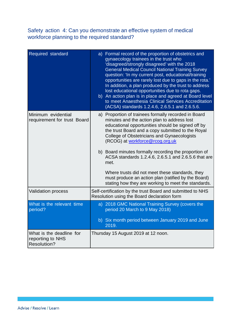## Safety action 4: Can you demonstrate an effective system of medical workforce planning to the required standard?

| Required standard                                                  | a) Formal record of the proportion of obstetrics and<br>gynaecology trainees in the trust who<br>'disagreed/strongly disagreed' with the 2018<br><b>General Medical Council National Training Survey</b><br>question: 'In my current post, educational/training<br>opportunities are rarely lost due to gaps in the rota.'<br>In addition, a plan produced by the trust to address<br>lost educational opportunities due to rota gaps.<br>b) An action plan is in place and agreed at Board level<br>to meet Anaesthesia Clinical Services Accreditation<br>(ACSA) standards 1.2.4.6, 2.6.5.1 and 2.6.5.6. |
|--------------------------------------------------------------------|------------------------------------------------------------------------------------------------------------------------------------------------------------------------------------------------------------------------------------------------------------------------------------------------------------------------------------------------------------------------------------------------------------------------------------------------------------------------------------------------------------------------------------------------------------------------------------------------------------|
| Minimum evidential<br>requirement for trust Board                  | a) Proportion of trainees formally recorded in Board<br>minutes and the action plan to address lost<br>educational opportunities should be signed off by<br>the trust Board and a copy submitted to the Royal<br>College of Obstetricians and Gynaecologists<br>(RCOG) at workforce@rcog.org.uk                                                                                                                                                                                                                                                                                                            |
|                                                                    | b) Board minutes formally recording the proportion of<br>ACSA standards 1.2.4.6, 2.6.5.1 and 2.6.5.6 that are<br>met.                                                                                                                                                                                                                                                                                                                                                                                                                                                                                      |
|                                                                    | Where trusts did not meet these standards, they<br>must produce an action plan (ratified by the Board)<br>stating how they are working to meet the standards.                                                                                                                                                                                                                                                                                                                                                                                                                                              |
| <b>Validation process</b>                                          | Self-certification by the trust Board and submitted to NHS<br>Resolution using the Board declaration form                                                                                                                                                                                                                                                                                                                                                                                                                                                                                                  |
| What is the relevant time<br>period?                               | a) 2018 GMC National Training Survey (covers the<br>period 20 March to 9 May 2018)                                                                                                                                                                                                                                                                                                                                                                                                                                                                                                                         |
|                                                                    | b) Six month period between January 2019 and June<br>2019.                                                                                                                                                                                                                                                                                                                                                                                                                                                                                                                                                 |
| What is the deadline for<br>reporting to NHS<br><b>Resolution?</b> | Thursday 15 August 2019 at 12 noon.                                                                                                                                                                                                                                                                                                                                                                                                                                                                                                                                                                        |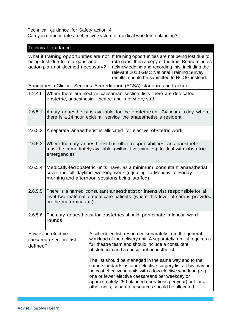Technical guidance for Safety action 4 Can you demonstrate an effective system of medical workforce planning?

|                                                                      | <b>Technical guidance</b>                                                                                                                                                                        |  |                                                                                                                                                                                                                                                                                                                                                                 |
|----------------------------------------------------------------------|--------------------------------------------------------------------------------------------------------------------------------------------------------------------------------------------------|--|-----------------------------------------------------------------------------------------------------------------------------------------------------------------------------------------------------------------------------------------------------------------------------------------------------------------------------------------------------------------|
| being lost due to rota gaps and<br>action plan not deemed necessary? |                                                                                                                                                                                                  |  | What if training opportunities are not If training opportunities are not being lost due to<br>rota gaps, then a copy of the trust Board minutes<br>acknowledging and recording this, including the<br>relevant 2018 GMC National Training Survey<br>results, should be submitted to RCOG instead.                                                               |
|                                                                      |                                                                                                                                                                                                  |  | Anaesthesia Clinical Services Accreditation (ACSA) standards and action                                                                                                                                                                                                                                                                                         |
| 1.2.4.6                                                              | Where there are elective caesarean section lists there are dedicated<br>obstetric, anaesthesia, theatre and midwifery staff                                                                      |  |                                                                                                                                                                                                                                                                                                                                                                 |
| 2.6.5.1                                                              | A duty anaesthetist is available for the obstetric unit 24 hours a day, where<br>there is a 24 hour epidural service the anaesthetist is resident                                                |  |                                                                                                                                                                                                                                                                                                                                                                 |
| 2.6.5.2                                                              | A separate anaesthetist is allocated for elective obstetric work                                                                                                                                 |  |                                                                                                                                                                                                                                                                                                                                                                 |
| 2.6.5.3                                                              | Where the duty anaesthetist has other responsibilities, an anaesthetist<br>must be immediately available (within five minutes) to deal with obstetric<br>emergencies                             |  |                                                                                                                                                                                                                                                                                                                                                                 |
| 2.6.5.4                                                              | Medically-led obstetric units have, as a minimum, consultant anaesthetist<br>cover the full daytime working week (equating to Monday to Friday,<br>morning and afternoon sessions being staffed) |  |                                                                                                                                                                                                                                                                                                                                                                 |
| 2.6.5.5                                                              | There is a named consultant anaesthetist or intensivist responsible for all<br>level two maternal critical care patients (where this level of care is provided<br>on the maternity unit)         |  |                                                                                                                                                                                                                                                                                                                                                                 |
|                                                                      | 2.6.5.6 The duty anaesthetist for obstetrics should participate in labour ward<br>rounds                                                                                                         |  |                                                                                                                                                                                                                                                                                                                                                                 |
| How is an elective<br>caesarean section list<br>defined?             |                                                                                                                                                                                                  |  | A scheduled list, resourced separately from the general<br>workload of the delivery unit. A separately run list requires a<br>full theatre team and should include a consultant<br>obstetrician and a consultant anaesthetist.                                                                                                                                  |
|                                                                      |                                                                                                                                                                                                  |  | The list should be managed in the same way and to the<br>same standards as other elective surgery lists. This may not<br>be cost effective in units with a low elective workload (e.g.<br>one or fewer elective caesareans per weekday or<br>approximately 250 planned operations per year) but for all<br>other units, separate resources should be allocated. |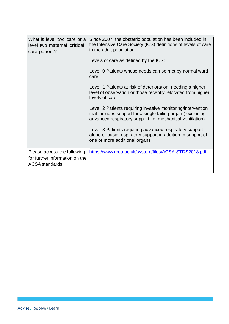| What is level two care or a<br>level two maternal critical<br>care patient?            | Since 2007, the obstetric population has been included in<br>the Intensive Care Society (ICS) definitions of levels of care<br>in the adult population.<br>Levels of care as defined by the ICS:<br>Level 0 Patients whose needs can be met by normal ward<br>care<br>Level 1 Patients at risk of deterioration, needing a higher<br>level of observation or those recently relocated from higher<br>levels of care<br>Level 2 Patients requiring invasive monitoring/intervention<br>that includes support for a single failing organ (excluding<br>advanced respiratory support i.e. mechanical ventilation)<br>Level 3 Patients requiring advanced respiratory support<br>alone or basic respiratory support in addition to support of<br>one or more additional organs |
|----------------------------------------------------------------------------------------|----------------------------------------------------------------------------------------------------------------------------------------------------------------------------------------------------------------------------------------------------------------------------------------------------------------------------------------------------------------------------------------------------------------------------------------------------------------------------------------------------------------------------------------------------------------------------------------------------------------------------------------------------------------------------------------------------------------------------------------------------------------------------|
| Please access the following<br>for further information on the<br><b>ACSA</b> standards | https://www.rcoa.ac.uk/system/files/ACSA-STDS2018.pdf                                                                                                                                                                                                                                                                                                                                                                                                                                                                                                                                                                                                                                                                                                                      |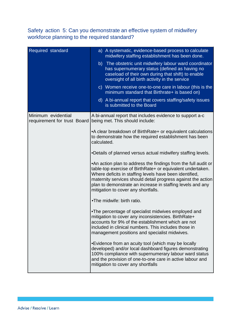## Safety action 5: Can you demonstrate an effective system of midwifery workforce planning to the required standard?

| Required standard                                 | a) A systematic, evidence-based process to calculate<br>midwifery staffing establishment has been done.<br>b) The obstetric unit midwifery labour ward coordinator<br>has supernumerary status (defined as having no<br>caseload of their own during that shift) to enable<br>oversight of all birth activity in the service<br>c) Women receive one-to-one care in labour (this is the<br>minimum standard that Birthrate+ is based on)<br>d) A bi-annual report that covers staffing/safety issues<br>is submitted to the Board                                                                                                                                                                                                                                                                                                                                                                                                                                                                                                        |
|---------------------------------------------------|------------------------------------------------------------------------------------------------------------------------------------------------------------------------------------------------------------------------------------------------------------------------------------------------------------------------------------------------------------------------------------------------------------------------------------------------------------------------------------------------------------------------------------------------------------------------------------------------------------------------------------------------------------------------------------------------------------------------------------------------------------------------------------------------------------------------------------------------------------------------------------------------------------------------------------------------------------------------------------------------------------------------------------------|
| Minimum evidential<br>requirement for trust Board | A bi-annual report that includes evidence to support a-c<br>being met. This should include:<br>• A clear breakdown of Birth Rate + or equivalent calculations<br>to demonstrate how the required establishment has been<br>calculated.<br>.Details of planned versus actual midwifery staffing levels.<br>•An action plan to address the findings from the full audit or<br>table-top exercise of BirthRate+ or equivalent undertaken.<br>Where deficits in staffing levels have been identified,<br>maternity services should detail progress against the action<br>plan to demonstrate an increase in staffing levels and any<br>mitigation to cover any shortfalls.<br>.The midwife: birth ratio.<br>•The percentage of specialist midwives employed and<br>mitigation to cover any inconsistencies. BirthRate+<br>accounts for 9% of the establishment which are not<br>included in clinical numbers. This includes those in<br>management positions and specialist midwives.<br>•Evidence from an acuity tool (which may be locally |
|                                                   | developed) and/or local dashboard figures demonstrating<br>100% compliance with supernumerary labour ward status<br>and the provision of one-to-one care in active labour and<br>mitigation to cover any shortfalls                                                                                                                                                                                                                                                                                                                                                                                                                                                                                                                                                                                                                                                                                                                                                                                                                      |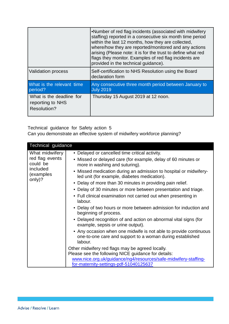|                                                             | .Number of red flag incidents (associated with midwifery<br>staffing) reported in a consecutive six month time period<br>within the last 12 months, how they are collected,<br>where/how they are reported/monitored and any actions<br>arising (Please note: it is for the trust to define what red<br>flags they monitor. Examples of red flag incidents are<br>provided in the technical guidance). |
|-------------------------------------------------------------|--------------------------------------------------------------------------------------------------------------------------------------------------------------------------------------------------------------------------------------------------------------------------------------------------------------------------------------------------------------------------------------------------------|
| <b>Validation process</b>                                   | Self-certification to NHS Resolution using the Board<br>declaration form                                                                                                                                                                                                                                                                                                                               |
| What is the relevant time<br>period?                        | Any consecutive three month period between January to<br><b>July 2019</b>                                                                                                                                                                                                                                                                                                                              |
| What is the deadline for<br>reporting to NHS<br>Resolution? | Thursday 15 August 2019 at 12 noon.                                                                                                                                                                                                                                                                                                                                                                    |

Technical guidance for Safety action 5

Can you demonstrate an effective system of midwifery workforce planning?

| Technical guidance                                                               |                                                                                                                                                                                                                                                                                                                                                                                                                                                                                                                                                                                                                                                                                                                                                                                                                                                                                                                                                                                                                                                               |
|----------------------------------------------------------------------------------|---------------------------------------------------------------------------------------------------------------------------------------------------------------------------------------------------------------------------------------------------------------------------------------------------------------------------------------------------------------------------------------------------------------------------------------------------------------------------------------------------------------------------------------------------------------------------------------------------------------------------------------------------------------------------------------------------------------------------------------------------------------------------------------------------------------------------------------------------------------------------------------------------------------------------------------------------------------------------------------------------------------------------------------------------------------|
| What midwifery<br>red flag events<br>could be<br>included<br>(examples<br>only)? | • Delayed or cancelled time critical activity.<br>• Missed or delayed care (for example, delay of 60 minutes or<br>more in washing and suturing).<br>• Missed medication during an admission to hospital or midwifery-<br>led unit (for example, diabetes medication).<br>• Delay of more than 30 minutes in providing pain relief.<br>• Delay of 30 minutes or more between presentation and triage.<br>• Full clinical examination not carried out when presenting in<br>labour.<br>• Delay of two hours or more between admission for induction and<br>beginning of process.<br>• Delayed recognition of and action on abnormal vital signs (for<br>example, sepsis or urine output).<br>• Any occasion when one midwife is not able to provide continuous<br>one-to-one care and support to a woman during established<br>labour.<br>Other midwifery red flags may be agreed locally.<br>Please see the following NICE guidance for details:<br>www.nice.org.uk/guidance/ng4/resources/safe-midwifery-staffing-<br>for-maternity-settings-pdf-51040125637 |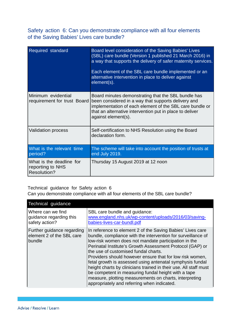Safety action 6: Can you demonstrate compliance with all four elements of the Saving Babies' Lives care bundle?

| <b>Required standard</b>                                           | Board level consideration of the Saving Babies' Lives<br>(SBL) care bundle (Version 1 published 21 March 2016) in<br>a way that supports the delivery of safer maternity services.<br>Each element of the SBL care bundle implemented or an<br>alternative intervention in place to deliver against<br>element(s). |
|--------------------------------------------------------------------|--------------------------------------------------------------------------------------------------------------------------------------------------------------------------------------------------------------------------------------------------------------------------------------------------------------------|
| Minimum evidential<br>requirement for trust Board                  | Board minutes demonstrating that the SBL bundle has<br>been considered in a way that supports delivery and<br>implementation of each element of the SBL care bundle or<br>that an alternative intervention put in place to deliver<br>against element(s).                                                          |
| <b>Validation process</b>                                          | Self-certification to NHS Resolution using the Board<br>declaration form.                                                                                                                                                                                                                                          |
| What is the relevant time<br>period?                               | The scheme will take into account the position of trusts at<br>end July 2019.                                                                                                                                                                                                                                      |
| What is the deadline for<br>reporting to NHS<br><b>Resolution?</b> | Thursday 15 August 2019 at 12 noon                                                                                                                                                                                                                                                                                 |

Technical guidance for Safety action 6

Can you demonstrate compliance with all four elements of the SBL care bundle?

| <b>Technical guidance</b>                                         |                                                                                                                                                                                                                                                                                                                                                                                                                                                                                                                                                                                                                                                      |
|-------------------------------------------------------------------|------------------------------------------------------------------------------------------------------------------------------------------------------------------------------------------------------------------------------------------------------------------------------------------------------------------------------------------------------------------------------------------------------------------------------------------------------------------------------------------------------------------------------------------------------------------------------------------------------------------------------------------------------|
| Where can we find<br>guidance regarding this<br>safety action?    | SBL care bundle and guidance:<br>www.england.nhs.uk/wp-content/uploads/2016/03/saving-<br>babies-lives-car-bundl.pdf                                                                                                                                                                                                                                                                                                                                                                                                                                                                                                                                 |
| Further guidance regarding<br>element 2 of the SBL care<br>bundle | In reference to element 2 of the Saving Babies' Lives care<br>bundle, compliance with the intervention for surveillance of<br>low-risk women does not mandate participation in the<br>Perinatal Institute's Growth Assessment Protocol (GAP) or<br>the use of customised fundal charts.<br>Providers should however ensure that for low risk women,<br>fetal growth is assessed using antenatal symphysis fundal<br>height charts by clinicians trained in their use. All staff must<br>be competent in measuring fundal height with a tape<br>measure, plotting measurements on charts, interpreting<br>appropriately and referring when indicated. |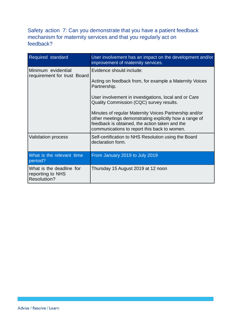### Safety action 7: Can you demonstrate that you have a patient feedback mechanism for maternity services and that you regularly act on feedback?

| Required standard                                                  | User involvement has an impact on the development and/or<br>improvement of maternity services.                                                                                                                                                                                                                                                                                                                                 |
|--------------------------------------------------------------------|--------------------------------------------------------------------------------------------------------------------------------------------------------------------------------------------------------------------------------------------------------------------------------------------------------------------------------------------------------------------------------------------------------------------------------|
| Minimum evidential<br>requirement for trust Board                  | Evidence should include:<br>Acting on feedback from, for example a Maternity Voices<br>Partnership.<br>User involvement in investigations, local and or Care<br>Quality Commission (CQC) survey results.<br>Minutes of regular Maternity Voices Partnership and/or<br>other meetings demonstrating explicitly how a range of<br>feedback is obtained, the action taken and the<br>communications to report this back to women. |
| <b>Validation process</b>                                          | Self-certification to NHS Resolution using the Board<br>declaration form.                                                                                                                                                                                                                                                                                                                                                      |
| What is the relevant time<br>period?                               | From January 2019 to July 2019                                                                                                                                                                                                                                                                                                                                                                                                 |
| What is the deadline for<br>reporting to NHS<br><b>Resolution?</b> | Thursday 15 August 2019 at 12 noon                                                                                                                                                                                                                                                                                                                                                                                             |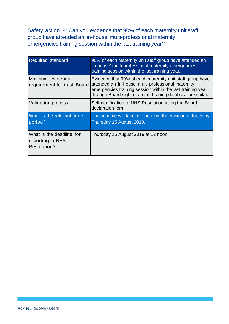Safety action 8: Can you evidence that 90% of each maternity unit staff group have attended an 'in-house' multi-professional maternity emergencies training session within the last training year?

| Required standard                                                  | 90% of each maternity unit staff group have attended an<br>'in-house' multi-professional maternity emergencies<br>training session within the last training year.                                                                              |
|--------------------------------------------------------------------|------------------------------------------------------------------------------------------------------------------------------------------------------------------------------------------------------------------------------------------------|
| Minimum evidential<br>requirement for trust Board                  | Evidence that 90% of each maternity unit staff group have<br>attended an 'in-house' multi-professional maternity<br>emergencies training session within the last training year<br>through Board sight of a staff training database or similar. |
| <b>Validation process</b>                                          | Self-certification to NHS Resolution using the Board<br>declaration form.                                                                                                                                                                      |
| What is the relevant time<br>period?                               | The scheme will take into account the position of trusts by<br>Thursday 15 August 2019.                                                                                                                                                        |
| What is the deadline for<br>reporting to NHS<br><b>Resolution?</b> | Thursday 15 August 2019 at 12 noon                                                                                                                                                                                                             |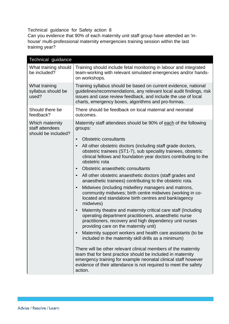Technical guidance for Safety action 8

Can you evidence that 90% of each maternity unit staff group have attended an 'inhouse' multi-professional maternity emergencies training session within the last training year?

| Technical guidance                                        |                                                                                                                                                                                                                                                                               |
|-----------------------------------------------------------|-------------------------------------------------------------------------------------------------------------------------------------------------------------------------------------------------------------------------------------------------------------------------------|
| What training should<br>be included?                      | Training should include fetal monitoring in labour and integrated<br>team-working with relevant simulated emergencies and/or hands-<br>on workshops.                                                                                                                          |
| What training<br>syllabus should be<br>used?              | Training syllabus should be based on current evidence, national<br>guidelines/recommendations, any relevant local audit findings, risk<br>issues and case review feedback, and include the use of local<br>charts, emergency boxes, algorithms and pro-formas.                |
| Should there be<br>feedback?                              | There should be feedback on local maternal and neonatal<br>outcomes.                                                                                                                                                                                                          |
| Which maternity<br>staff attendees<br>should be included? | Maternity staff attendees should be 90% of each of the following<br>groups:<br><b>Obstetric consultants</b><br>$\bullet$                                                                                                                                                      |
|                                                           | All other obstetric doctors (including staff grade doctors,<br>obstetric trainees (ST1-7), sub speciality trainees, obstetric<br>clinical fellows and foundation year doctors contributing to the<br>obstetric rota                                                           |
|                                                           | Obstetric anaesthetic consultants<br>$\bullet$                                                                                                                                                                                                                                |
|                                                           | All other obstetric anaesthetic doctors (staff grades and<br>$\bullet$<br>anaesthetic trainees) contributing to the obstetric rota.                                                                                                                                           |
|                                                           | Midwives (including midwifery managers and matrons,<br>$\bullet$<br>community midwives; birth centre midwives (working in co-<br>located and standalone birth centres and bank/agency<br>midwives)                                                                            |
|                                                           | Maternity theatre and maternity critical care staff (Including<br>operating department practitioners, anaesthetic nurse<br>practitioners, recovery and high dependency unit nurses<br>providing care on the maternity unit)                                                   |
|                                                           | Maternity support workers and health care assistants (to be<br>included in the maternity skill drills as a minimum)                                                                                                                                                           |
|                                                           | There will be other relevant clinical members of the maternity<br>team that for best practice should be included in maternity<br>emergency training for example neonatal clinical staff however<br>evidence of their attendance is not required to meet the safety<br>action. |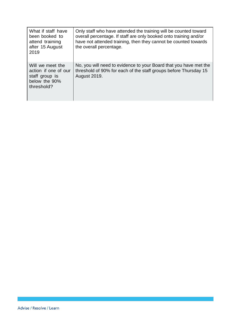| What if staff have<br>been booked to<br>attend training<br>after 15 August<br>2019        | Only staff who have attended the training will be counted toward<br>overall percentage. If staff are only booked onto training and/or<br>have not attended training, then they cannot be counted towards<br>the overall percentage. |
|-------------------------------------------------------------------------------------------|-------------------------------------------------------------------------------------------------------------------------------------------------------------------------------------------------------------------------------------|
| Will we meet the<br>action if one of our<br>staff group is<br>below the 90%<br>threshold? | No, you will need to evidence to your Board that you have met the<br>threshold of 90% for each of the staff groups before Thursday 15<br><b>August 2019.</b>                                                                        |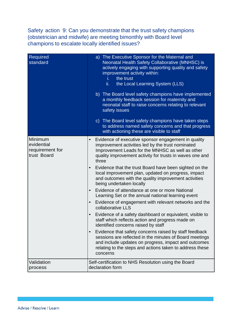Safety action 9: Can you demonstrate that the trust safety champions (obstetrician and midwife) are meeting bimonthly with Board level champions to escalate locally identified issues?

| Required<br>standard                                    | a) The Executive Sponsor for the Maternal and<br>Neonatal Health Safety Collaborative (MNHSC) is<br>actively engaging with supporting quality and safety<br>improvement activity within:<br>i.<br>the trust<br>the Local Learning System (LLS)<br>ii.<br>b) The Board level safety champions have implemented<br>a monthly feedback session for maternity and<br>neonatal staff to raise concerns relating to relevant<br>safety issues<br>c) The Board level safety champions have taken steps<br>to address named safety concerns and that progress<br>with actioning these are visible to staff                                                                                                                                                                                                                                                                                                                                                                                                                                                                                                        |
|---------------------------------------------------------|-----------------------------------------------------------------------------------------------------------------------------------------------------------------------------------------------------------------------------------------------------------------------------------------------------------------------------------------------------------------------------------------------------------------------------------------------------------------------------------------------------------------------------------------------------------------------------------------------------------------------------------------------------------------------------------------------------------------------------------------------------------------------------------------------------------------------------------------------------------------------------------------------------------------------------------------------------------------------------------------------------------------------------------------------------------------------------------------------------------|
| Minimum<br>evidential<br>requirement for<br>trust Board | Evidence of executive sponsor engagement in quality<br>improvement activities led by the trust nominated<br>Improvement Leads for the MNHSC as well as other<br>quality improvement activity for trusts in waves one and<br>three<br>Evidence that the trust Board have been sighted on the<br>$\bullet$<br>local improvement plan, updated on progress, impact<br>and outcomes with the quality improvement activities<br>being undertaken locally<br>Evidence of attendance at one or more National<br>$\bullet$<br>Learning Set or the annual national learning event<br>Evidence of engagement with relevant networks and the<br>$\bullet$<br>collaborative LLS<br>Evidence of a safety dashboard or equivalent, visible to<br>$\bullet$<br>staff which reflects action and progress made on<br>identified concerns raised by staff<br>Evidence that safety concerns raised by staff feedback<br>$\bullet$<br>sessions are reflected in the minutes of Board meetings<br>and include updates on progress, impact and outcomes<br>relating to the steps and actions taken to address these<br>concerns |
| Validation<br>process                                   | Self-certification to NHS Resolution using the Board<br>declaration form                                                                                                                                                                                                                                                                                                                                                                                                                                                                                                                                                                                                                                                                                                                                                                                                                                                                                                                                                                                                                                  |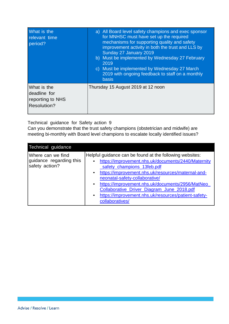| What is the<br>relevant time<br>period?                               | a) All Board level safety champions and exec sponsor<br>for MNHSC must have set up the required<br>mechanisms for supporting quality and safety<br>improvement activity in both the trust and LLS by<br>Sunday 27 January 2019<br>b) Must be implemented by Wednesday 27 February<br>2019<br>c) Must be implemented by Wednesday 27 March<br>2019 with ongoing feedback to staff on a monthly<br><b>basis</b> |
|-----------------------------------------------------------------------|---------------------------------------------------------------------------------------------------------------------------------------------------------------------------------------------------------------------------------------------------------------------------------------------------------------------------------------------------------------------------------------------------------------|
| What is the<br>deadline for<br>reporting to NHS<br><b>Resolution?</b> | Thursday 15 August 2019 at 12 noon                                                                                                                                                                                                                                                                                                                                                                            |

Technical guidance for Safety action 9

Can you demonstrate that the trust safety champions (obstetrician and midwife) are meeting bi-monthly with Board level champions to escalate locally identified issues?

| Technical guidance                                             |                                                                                                                                                                                                                                                                                                                                                                                                                                                |
|----------------------------------------------------------------|------------------------------------------------------------------------------------------------------------------------------------------------------------------------------------------------------------------------------------------------------------------------------------------------------------------------------------------------------------------------------------------------------------------------------------------------|
| Where can we find<br>guidance regarding this<br>safety action? | Helpful guidance can be found at the following websites:<br>https://improvement.nhs.uk/documents/2440/Maternity<br>safety_champions_13feb.pdf<br>• https://improvement.nhs.uk/resources/maternal-and-<br>neonatal-safety-collaborative/<br>https://improvement.nhs.uk/documents/2956/MatNeo<br>$\bullet$<br>Collaborative_Driver_Diagram_June_2018.pdf<br>https://improvement.nhs.uk/resources/patient-safety-<br>$\bullet$<br>collaboratives/ |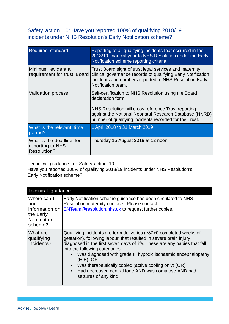#### Safety action 10: Have you reported 100% of qualifying 2018/19 incidents under NHS Resolution's Early Notification scheme?

| <b>Required standard</b>                                           | Reporting of all qualifying incidents that occurred in the<br>2018/19 financial year to NHS Resolution under the Early<br>Notification scheme reporting criteria.                                                                                   |
|--------------------------------------------------------------------|-----------------------------------------------------------------------------------------------------------------------------------------------------------------------------------------------------------------------------------------------------|
| Minimum evidential<br>requirement for trust Board                  | Trust Board sight of trust legal services and maternity<br>clinical governance records of qualifying Early Notification<br>incidents and numbers reported to NHS Resolution Early<br>Notification team.                                             |
| <b>Validation process</b>                                          | Self-certification to NHS Resolution using the Board<br>declaration form<br>NHS Resolution will cross reference Trust reporting<br>against the National Neonatal Research Database (NNRD)<br>number of qualifying incidents recorded for the Trust. |
| What is the relevant time<br>period?                               | 1 April 2018 to 31 March 2019                                                                                                                                                                                                                       |
| What is the deadline for<br>reporting to NHS<br><b>Resolution?</b> | Thursday 15 August 2019 at 12 noon                                                                                                                                                                                                                  |

Technical guidance for Safety action 10

Have you reported 100% of qualifying 2018/19 incidents under NHS Resolution's Early Notification scheme?

| Technical guidance                                                            |                                                                                                                                                                                                                                                                                                                                                                                                                                                                                     |
|-------------------------------------------------------------------------------|-------------------------------------------------------------------------------------------------------------------------------------------------------------------------------------------------------------------------------------------------------------------------------------------------------------------------------------------------------------------------------------------------------------------------------------------------------------------------------------|
| Where can I<br>find<br>information on<br>the Early<br>Notification<br>scheme? | Early Notification scheme guidance has been circulated to NHS<br>Resolution maternity contacts. Please contact<br><b>ENTeam@resolution.nhs.uk to request further copies.</b>                                                                                                                                                                                                                                                                                                        |
| What are<br>qualifying<br>incidents?                                          | Qualifying incidents are term deliveries $(237+0$ completed weeks of<br>gestation), following labour, that resulted in severe brain injury<br>diagnosed in the first seven days of life. These are any babies that fall<br>into the following categories:<br>Was diagnosed with grade III hypoxic ischaemic encephalopathy<br>$(HIE)$ [OR]<br>Was therapeutically cooled (active cooling only) [OR]<br>Had decreased central tone AND was comatose AND had<br>seizures of any kind. |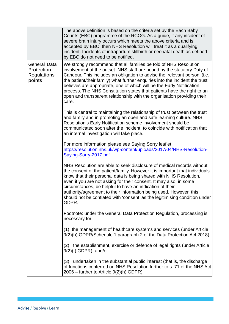|                                                            | The above definition is based on the criteria set by the Each Baby<br>Counts (EBC) programme of the RCOG. As a guide, if any incident of<br>severe brain injury occurs which meets the above criteria and is<br>accepted by EBC, then NHS Resolution will treat it as a qualifying<br>incident. Incidents of intrapartum stillbirth or neonatal death as defined<br>by EBC do not need to be notified.                                                                                                                                             |
|------------------------------------------------------------|----------------------------------------------------------------------------------------------------------------------------------------------------------------------------------------------------------------------------------------------------------------------------------------------------------------------------------------------------------------------------------------------------------------------------------------------------------------------------------------------------------------------------------------------------|
| General Data<br>Protection<br><b>Regulations</b><br>points | We strongly recommend that all families be told of NHS Resolution<br>involvement at the outset. NHS staff are bound by the statutory Duty of<br>Candour. This includes an obligation to advise the 'relevant person' (i.e.<br>the patient/their family) what further enquiries into the incident the trust<br>believes are appropriate, one of which will be the Early Notification<br>process. The NHS Constitution states that patients have the right to an<br>open and transparent relationship with the organisation providing their<br>care. |
|                                                            | This is central to maintaining the relationship of trust between the trust<br>and family and in promoting an open and safe learning culture. NHS<br>Resolution's Early Notification scheme involvement should be<br>communicated soon after the incident, to coincide with notification that<br>an internal investigation will take place.                                                                                                                                                                                                         |
|                                                            | For more information please see Saying Sorry leaflet<br>https://resolution.nhs.uk/wp-content/uploads/2017/04/NHS-Resolution-<br>Saying-Sorry-2017.pdf                                                                                                                                                                                                                                                                                                                                                                                              |
|                                                            | NHS Resolution are able to seek disclosure of medical records without<br>the consent of the patient/family. However it is important that individuals<br>know that their personal data is being shared with NHS Resolution,<br>even if you are not asking for their consent. It may also, in some<br>circumstances, be helpful to have an indication of their<br>authority/agreement to their information being used. However, this<br>should not be conflated with 'consent' as the legitimising condition under<br>GDPR.                          |
|                                                            | Footnote: under the General Data Protection Regulation, processing is<br>necessary for                                                                                                                                                                                                                                                                                                                                                                                                                                                             |
|                                                            | (1) the management of healthcare systems and services (under Article<br>9(2)(h) GDPR/Schedule 1 paragraph 2 of the Data Protection Act 2018);                                                                                                                                                                                                                                                                                                                                                                                                      |
|                                                            | (2) the establishment, exercise or defence of legal rights (under Article<br>$9(2)(f)$ GDPR); and/or                                                                                                                                                                                                                                                                                                                                                                                                                                               |
|                                                            | (3) undertaken in the substantial public interest (that is, the discharge<br>of functions conferred on NHS Resolution further to s. 71 of the NHS Act<br>$2006$ – further to Article $9(2)(h)$ GDPR).                                                                                                                                                                                                                                                                                                                                              |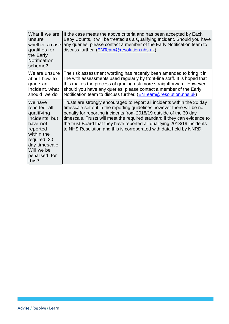| What if we are<br>lunsure<br>whether a case<br>qualifies for<br>the Early<br>Notification<br>scheme?                                                                    | If the case meets the above criteria and has been accepted by Each<br>Baby Counts, it will be treated as a Qualifying Incident. Should you have<br>any queries, please contact a member of the Early Notification team to<br>discuss further. (ENTeam@resolution.nhs.uk)                                                                                                                                                                                |
|-------------------------------------------------------------------------------------------------------------------------------------------------------------------------|---------------------------------------------------------------------------------------------------------------------------------------------------------------------------------------------------------------------------------------------------------------------------------------------------------------------------------------------------------------------------------------------------------------------------------------------------------|
| We are unsure<br>about how to<br>grade an<br>incident, what<br>should we do                                                                                             | The risk assessment wording has recently been amended to bring it in<br>line with assessments used regularly by front-line staff. It is hoped that<br>this makes the process of grading risk more straightforward. However,<br>should you have any queries, please contact a member of the Early<br>Notification team to discuss further. (ENTeam@resolution.nhs.uk)                                                                                    |
| IWe have<br>reported all<br>qualifying<br>incidents, but<br>have not<br>reported<br>within the<br>required 30<br>day timescale.<br>Will we be<br>penalised for<br>this? | Trusts are strongly encouraged to report all incidents within the 30 day<br>timescale set out in the reporting guidelines however there will be no<br>penalty for reporting incidents from 2018/19 outside of the 30 day<br>timescale. Trusts will meet the required standard if they can evidence to<br>the trust Board that they have reported all qualifying 2018/19 incidents<br>to NHS Resolution and this is corroborated with data held by NNRD. |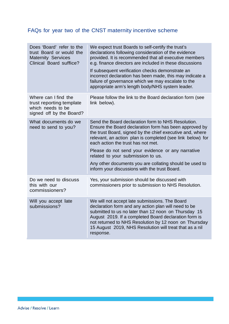## FAQs for year two of the CNST maternity incentive scheme

| Does 'Board' refer to the<br>trust Board or would the<br><b>Maternity Services</b><br>Clinical Board suffice? | We expect trust Boards to self-certify the trust's<br>declarations following consideration of the evidence<br>provided. It is recommended that all executive members<br>e.g. finance directors are included in these discussions<br>If subsequent verification checks demonstrate an<br>incorrect declaration has been made, this may indicate a<br>failure of governance which we may escalate to the<br>appropriate arm's length body/NHS system leader.                          |
|---------------------------------------------------------------------------------------------------------------|-------------------------------------------------------------------------------------------------------------------------------------------------------------------------------------------------------------------------------------------------------------------------------------------------------------------------------------------------------------------------------------------------------------------------------------------------------------------------------------|
| Where can I find the<br>trust reporting template<br>which needs to be<br>signed off by the Board?             | Please follow the link to the Board declaration form (see<br>link below).                                                                                                                                                                                                                                                                                                                                                                                                           |
| What documents do we<br>need to send to you?                                                                  | Send the Board declaration form to NHS Resolution.<br>Ensure the Board declaration form has been approved by<br>the trust Board, signed by the chief executive and, where<br>relevant, an action plan is completed (see link below) for<br>each action the trust has not met.<br>Please do not send your evidence or any narrative<br>related to your submission to us.<br>Any other documents you are collating should be used to<br>inform your discussions with the trust Board. |
| Do we need to discuss<br>this with our<br>commissioners?                                                      | Yes, your submission should be discussed with<br>commissioners prior to submission to NHS Resolution.                                                                                                                                                                                                                                                                                                                                                                               |
| Will you accept late<br>submissions?                                                                          | We will not accept late submissions. The Board<br>declaration form and any action plan will need to be<br>submitted to us no later than 12 noon on Thursday 15<br>August 2019. If a completed Board declaration form is<br>not returned to NHS Resolution by 12 noon on Thursday<br>15 August 2019, NHS Resolution will treat that as a nil<br>response.                                                                                                                            |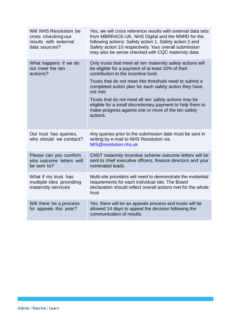| Will NHS Resolution be<br>cross checking our<br>results with external<br>data sources? | Yes, we will cross reference results with external data sets<br>from MBRRACE-UK, NHS Digital and the NNRD for the<br>following actions: Safety action 1, Safety action 2 and<br>Safety action 10 respectively. Your overall submission<br>may also be sense checked with CQC maternity data. |
|----------------------------------------------------------------------------------------|----------------------------------------------------------------------------------------------------------------------------------------------------------------------------------------------------------------------------------------------------------------------------------------------|
| What happens if we do<br>not meet the ten<br>actions?                                  | Only trusts that meet all ten maternity safety actions will<br>be eligible for a payment of at least 10% of their<br>contribution to the incentive fund.                                                                                                                                     |
|                                                                                        | Trusts that do not meet this threshold need to submit a<br>completed action plan for each safety action they have<br>not met.                                                                                                                                                                |
|                                                                                        | Trusts that do not meet all ten safety actions may be<br>eligible for a small discretionary payment to help them to<br>make progress against one or more of the ten safety<br>actions.                                                                                                       |
| Our trust has queries,<br>who should we contact?                                       | Any queries prior to the submission date must be sent in<br>writing by e-mail to NHS Resolution via<br>MIS@resolution.nhs.uk                                                                                                                                                                 |
| Please can you confirm<br>who outcome letters will<br>be sent to?                      | CNST maternity incentive scheme outcome letters will be<br>sent to chief executive officers, finance directors and your<br>nominated leads.                                                                                                                                                  |
| What if my trust has<br>multiple sites providing<br>maternity services                 | Multi-site providers will need to demonstrate the evidential<br>requirements for each individual site. The Board<br>declaration should reflect overall actions met for the whole<br>trust                                                                                                    |
| Will there be a process<br>for appeals this year?                                      | Yes, there will be an appeals process and trusts will be<br>allowed 14 days to appeal the decision following the<br>communication of results.                                                                                                                                                |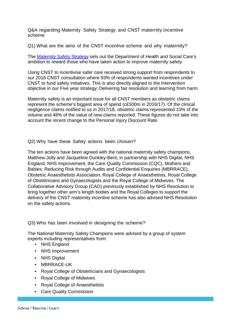Q&A regarding Maternity Safety Strategy and CNST maternity incentive scheme

Q1) What are the aims of the CNST incentive scheme and why maternity?

The [Maternity Safety Strategy](https://www.gov.uk/government/publications/safer-maternity-care-progress-and-next-steps) sets out the Department of Health and Social Care's ambition to reward those who have taken action to improve maternity safety.

Using CNST to incentivise safer care received strong support from respondents to our 2016 CNST consultation where 93% of respondents wanted incentives under CNST to fund safety initiatives. This is also directly aligned to the Intervention objective in our Five year strategy: Delivering fair resolution and learning from harm.

Maternity safety is an important issue for all CNST members as obstetric claims represent the scheme's biggest area of spend (c£500m in 2016/17). Of the clinical negligence claims notified to us in 2017/18, obstetric claims represented 10% of the volume and 48% of the value of new claims reported. These figures do not take into account the recent change to the Personal Injury Discount Rate.

Q2) Why have these Safety actions been chosen?

The ten actions have been agreed with the national maternity safety champions, Matthew Jolly and Jacqueline Dunkley-Bent, in partnership with NHS Digital, NHS England, NHS Improvement, the Care Quality Commission (CQC), Mothers and Babies: Reducing Risk through Audits and Confidential Enquiries (MBRRACE), Obstetric Anaesthetists Association, Royal College of Anaesthetists, Royal College of Obstetricians and Gynaecologists and the Royal College of Midwives. The Collaborative Advisory Group (CAG) previously established by NHS Resolution to bring together other arm's length bodies and the Royal Colleges to support the delivery of the CNST maternity incentive scheme has also advised NHS Resolution on the safety actions.

Q3) Who has been involved in designing the scheme?

The National Maternity Safety Champions were advised by a group of system experts including representatives from:

- NHS England
- NHS Improvement
- NHS Digital
- MBRRACE-UK
- Royal College of Obstetricians and Gynaecologists
- Royal College of Midwives
- Royal College of Anaesthetists
- Care Quality Commission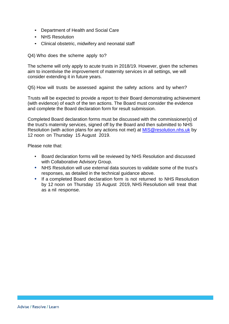- Department of Health and Social Care
- NHS Resolution
- Clinical obstetric, midwifery and neonatal staff

Q4) Who does the scheme apply to?

The scheme will only apply to acute trusts in 2018/19. However, given the schemes aim to incentivise the improvement of maternity services in all settings, we will consider extending it in future years.

Q5) How will trusts be assessed against the safety actions and by when?

Trusts will be expected to provide a report to their Board demonstrating achievement (with evidence) of each of the ten actions. The Board must consider the evidence and complete the Board declaration form for result submission.

Completed Board declaration forms must be discussed with the commissioner(s) of the trust's maternity services, signed off by the Board and then submitted to NHS Resolution (with action plans for any actions not met) at [MIS@resolution.nhs.uk](mailto:MIS@resolution.nhs.uk) by 12 noon on Thursday 15 August 2019.

Please note that:

- Board declaration forms will be reviewed by NHS Resolution and discussed with Collaborative Advisory Group.
- NHS Resolution will use external data sources to validate some of the trust's responses, as detailed in the technical guidance above.
- If a completed Board declaration form is not returned to NHS Resolution by 12 noon on Thursday 15 August 2019, NHS Resolution will treat that as a nil response.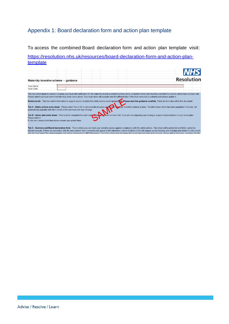## Appendix 1: Board declaration form and action plan template

To access the combined Board declaration form and action plan template visit:

[https://resolution.nhs.uk/resources/board-declaration-form-and-action-plan](https://resolution.nhs.uk/resources/board-declaration-form-and-action-plan-template)[template](https://resolution.nhs.uk/resources/board-declaration-form-and-action-plan-template)

| Maternity incentive scheme - quidance                                                                                                                                                                                                                                                                                                                                                                                                                                                                                                                                                                                                                                                                                                               |  |                   |
|-----------------------------------------------------------------------------------------------------------------------------------------------------------------------------------------------------------------------------------------------------------------------------------------------------------------------------------------------------------------------------------------------------------------------------------------------------------------------------------------------------------------------------------------------------------------------------------------------------------------------------------------------------------------------------------------------------------------------------------------------------|--|-------------------|
|                                                                                                                                                                                                                                                                                                                                                                                                                                                                                                                                                                                                                                                                                                                                                     |  | <b>Resolution</b> |
| <b>Trust Name</b>                                                                                                                                                                                                                                                                                                                                                                                                                                                                                                                                                                                                                                                                                                                                   |  |                   |
| <b>Trust Code</b>                                                                                                                                                                                                                                                                                                                                                                                                                                                                                                                                                                                                                                                                                                                                   |  |                   |
| Guidance tab - This has useful information to support you to complete the safety actions excel spreads elect Please read the guidance carefully. There are four tabs within this document:<br>Tab A - Safety actions entry sheet - Please select Yes or No to demonstrate progress against the indicative scheme actions. The information which has been populated in this tab, will<br>automatically populate onto tab C which is the summary and sign off page<br>Tab B - Action plan entry sheet - This must be completed for each safet action what has not been met. If you are not requesting any funding to support implementation of your action plan -<br>Please enter 0<br>If cells are coloured pink then please ensure you update them. |  |                   |

Tab C - Summary and Board declaration form - This is where you can track your overall progress against compliance with the safety actions. This sheet will be protected and fields cannot be altered manually. If there are an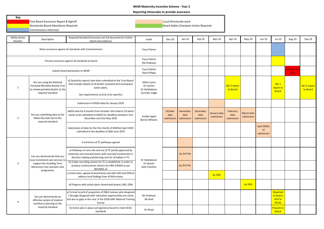#### **NHSR Maternity Incentive Scheme - Year 2**

#### **Reporting timescales to provide assurance**

÷

| Key<br>Safety Action             | Final Board Assurance Report & Signoff<br>Directorate Board Attendance Required<br><b>Commisioners Informed</b>         | Required Standard (Summary see full document for further                                                                                                                                                   |                                                               | Local Directorate work        |                                | Board Safety Champion Action Required |                            |                                |                          |                                                   |                                                 |        |                          |
|----------------------------------|-------------------------------------------------------------------------------------------------------------------------|------------------------------------------------------------------------------------------------------------------------------------------------------------------------------------------------------------|---------------------------------------------------------------|-------------------------------|--------------------------------|---------------------------------------|----------------------------|--------------------------------|--------------------------|---------------------------------------------------|-------------------------------------------------|--------|--------------------------|
| Number                           | Description                                                                                                             | detail and evidence)                                                                                                                                                                                       | Leads                                                         | Dec-18                        | $Jan-19$                       | Feb-19                                | Mar-19                     | Apr-19                         | $May-19$                 | Jun-19                                            | Jul-19                                          | Aug-19 | $Sep-19$                 |
|                                  |                                                                                                                         | Share assurance against all standards with Commissioners                                                                                                                                                   | <b>Tracy Palmer</b>                                           |                               |                                |                                       |                            |                                |                          |                                                   |                                                 |        |                          |
|                                  |                                                                                                                         | Present assurance against all standards to board                                                                                                                                                           | <b>Tracy Palmer</b><br>Obi Orakwue                            |                               |                                |                                       |                            |                                |                          |                                                   |                                                 |        |                          |
| Submit board declaration to NHSR |                                                                                                                         | <b>Tracy Palmer</b><br><b>Steve Phipps</b>                                                                                                                                                                 |                                                               |                               |                                |                                       |                            |                                |                          |                                                   | 12 Noon on<br>15th                              |        |                          |
| 1                                | Are you using the National<br>Perinatal Mortality Review Tool<br>to review perinatal deaths to the<br>required standard | d) Quarterly reports have been submitted to the Trust Board<br>that includes details of all deaths reviewed and consequent<br>action plans.<br>See requirements a) b) & c) for specifics                   | Gillian Lyons<br>Dr Vanner<br>Dr Halahakoon<br>Surinder Judge |                               |                                |                                       |                            | Qtr 4 report<br>to Board       |                          |                                                   | Otr $1$<br>report to<br><b>Board</b>            |        | Qtr 2 report<br>to Board |
|                                  | Are you submitting data to the<br>Maternity Data Set to the<br>required standard                                        | Submission of MSDS data for January 2019                                                                                                                                                                   | Sarbjit Uppal<br><b>Bernie Williams</b>                       |                               |                                |                                       |                            |                                |                          |                                                   |                                                 |        |                          |
| $\overline{2}$                   |                                                                                                                         | MSDS data for 6 months from October 18 to March 19 which<br>needs to be submitted to MSDS for deadlines between 31st<br>December and 31st May 2019                                                         |                                                               | October<br>data<br>submission | November<br>data<br>submission | December<br>data<br>submission        | January data<br>submission | February<br>data<br>submission | March data<br>submission |                                                   |                                                 |        |                          |
|                                  |                                                                                                                         | Submission of data for the first month of MSDSv2 April 2019<br>submitted to the deadline of 30th June 2019                                                                                                 |                                                               |                               |                                |                                       |                            |                                |                          | <b>April MSDS</b><br>v <sub>2</sub><br>submission |                                                 |        |                          |
|                                  |                                                                                                                         | A minimum of TC pathways agreed                                                                                                                                                                            |                                                               |                               |                                |                                       |                            |                                |                          |                                                   |                                                 |        |                          |
|                                  | Can you demonstrate that you<br>have transitional care services to                                                      | a) Pathways of care into and out of TC jointly approved by<br>maternity and neonatal teams with neonatal involvement in<br>decision making and planning care for all babies in TC.                         | Dr Halahakoon<br>Dr Heaver<br>Kate Cheshire                   |                               | by 3rd Feb                     |                                       |                            |                                |                          |                                                   |                                                 |        |                          |
| $\overline{3}$                   | support the Avoiding Term<br>Admissions into neonate units<br>programme                                                 | b) A data recording system for TC is established, in order to<br>produce commissioner returns for HRG 4/XA04 as per<br>NCCMDS v2                                                                           |                                                               |                               | by 3rd Feb                     |                                       |                            |                                |                          |                                                   |                                                 |        |                          |
|                                  |                                                                                                                         | c) Action plan, agreed at board level and with LMS and ODN to<br>address local findings from ATAIN review.                                                                                                 |                                                               |                               |                                |                                       | by 10th                    |                                |                          |                                                   |                                                 |        |                          |
|                                  |                                                                                                                         | d) Progress with action plans shared with board, LMS, ODN                                                                                                                                                  |                                                               |                               |                                |                                       |                            |                                | by 19th                  |                                                   |                                                 |        |                          |
| 4                                | Can you demonstrate an<br>effective system of medical<br>workforce planning to the                                      | a) Formal record of proportion of O&G trainees who disagreed<br>/ Strongly disagreed with 'education opportunities are rarely<br>lost due to gaps in the rota' in the 2018 GMC National Training<br>Survey | Mr Orakwue<br>Mr Riad                                         |                               |                                |                                       |                            |                                |                          |                                                   | Reported<br>to board,<br>sent to<br><b>RCOG</b> |        |                          |
|                                  | required standard                                                                                                       | b) Action plan in place and agreed at board to meet ACSA<br>standards                                                                                                                                      | Dr Ahuja                                                      |                               |                                |                                       |                            |                                |                          |                                                   | Present to<br><b>Board</b>                      |        |                          |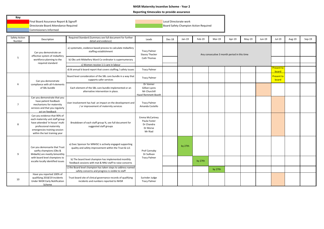#### **NHSR Maternity Incentive Scheme - Year 2**

#### **Reporting timescales to provide assurance**

**Key**

Commisioners Informed

**Board Safety Champion Action Required** 

| Safety Action<br>Number | Description                                                                                                                                                                                  | Required Standard (Summary see full document for further<br>detail and evidence)                                  | Leads                                                               | Dec-18 | Jan-19                                      | Feb-19 | Mar-19  | Apr-19  | $May-19$ | Jun-19 | Jul-19                           | Aug-19 | Sep-19 |  |
|-------------------------|----------------------------------------------------------------------------------------------------------------------------------------------------------------------------------------------|-------------------------------------------------------------------------------------------------------------------|---------------------------------------------------------------------|--------|---------------------------------------------|--------|---------|---------|----------|--------|----------------------------------|--------|--------|--|
|                         | Can you demonstrate an<br>effective system of midwifery                                                                                                                                      | a) systematic, evidence based process to calculate midwifery<br>staffing establishment                            | <b>Tracy Palmer</b><br><b>Stacey Thacker</b>                        |        | Any consecutive 3 month period in this time |        |         |         |          |        |                                  |        |        |  |
| 5                       | workforce planning to the                                                                                                                                                                    | b) Obs unit Midwifery Ward Co-ordinator is supernumerary                                                          | Cath Thomas                                                         |        |                                             |        |         |         |          |        |                                  |        |        |  |
|                         | required standard                                                                                                                                                                            | c) Women receive 1:1 care in labour                                                                               |                                                                     |        |                                             |        |         |         |          |        |                                  |        |        |  |
|                         |                                                                                                                                                                                              | d) Bi annual b board report that covers staffing / safety issues                                                  | <b>Tracy Palmer</b>                                                 |        |                                             |        |         |         |          |        | Present to<br>board              |        |        |  |
|                         | Can you demonstrate                                                                                                                                                                          | Board level consideration of the SBL care bundle in a way that<br>supports safer services                         | <b>Tracy Palmer</b>                                                 |        |                                             |        |         |         |          |        | <mark>Present to</mark><br>board |        |        |  |
| 6                       | compliance with all 4 elements<br>of SBL bundle                                                                                                                                              | Each element of the SBL care bundle implemented or an<br>alternative intervention in place.                       | Dr Vanner<br>Gillian Lyons<br>Mr Churchill<br>Hazel Remmett-Booth   |        |                                             |        |         |         |          |        |                                  |        |        |  |
| $\overline{7}$          | Can you demonstrate that you<br>have patient feedback<br>mechanisms for maternity<br>services and that you regularly<br>act on feedback                                                      | User involvement has had an impact on the development and<br>/ or improvement of maternity services               | <b>Tracy Palmer</b><br>Amanda Costello                              |        |                                             |        |         |         |          |        |                                  |        |        |  |
| 8                       | Can you evidence that 90% of<br>each maternity unit staff group<br>have attended 'in house' multi<br>professional maternity<br>emergencies training session<br>within the last training year | Breakdown of each staff group %, see full document for<br>suggested staff groups                                  | Emma McCartney<br>Paula Foster<br>Dr Chandra<br>Dr Morse<br>Mr Riad |        |                                             |        |         |         |          |        |                                  |        |        |  |
| 9                       | Can you demonsarte that Trust<br>saefty champions (Obs &<br>Midwife) are meetly bimonthly                                                                                                    | a) Exec Sponsor for MNHSC is actively engaged supporting<br>quality and safety improvement within the Trust & LLS | Prof Cannaby<br>Dr Sullivan<br><b>Tracy Palmer</b>                  |        | by 27th                                     |        |         |         |          |        |                                  |        |        |  |
|                         | with board level champions to<br>escalte locally identified issues                                                                                                                           | b) The board level champion has implemented monthly<br>feedback sessions with mat & NNU staff to raise concerns   |                                                                     |        |                                             |        |         | by 27th |          |        |                                  |        |        |  |
|                         |                                                                                                                                                                                              | c) the Board level champion has taken steps to address named<br>safety concerns and progress is visible to staff  |                                                                     |        |                                             |        | by 27th |         |          |        |                                  |        |        |  |
| 10                      | Have you reported 100% of<br>qualifying 2018/19 incidents<br><b>Under NHSR Early Notification</b><br>Scheme                                                                                  | Trust board site of clinical governance records of qualifying<br>incidents and numbers reported to NHSR           | Surinder Judge<br><b>Tracy Palmer</b>                               |        |                                             |        |         |         |          |        |                                  |        |        |  |

**Final Board Assurance Report & Signoff Local Directorate work**<br>Local Directorate Board Attendance Required Local Directorate work Local Directorate work Directorate work Local Directorate work<br>Local Directorate Board Atte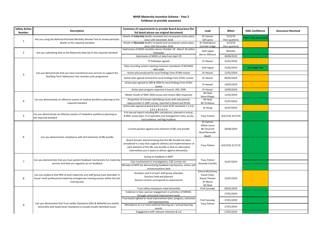| <b>Safety Action</b><br><b>Number</b> | <b>Description</b>                                                                                                                                                                  | Summary of requirements to provide Board Assurance (for<br>full detail please see original document)                                                                                                                                                   | Lead                                                                                  | When                      | <b>RAG Confidence</b>      | <b>Assurance Received</b> |
|---------------------------------------|-------------------------------------------------------------------------------------------------------------------------------------------------------------------------------------|--------------------------------------------------------------------------------------------------------------------------------------------------------------------------------------------------------------------------------------------------------|---------------------------------------------------------------------------------------|---------------------------|----------------------------|---------------------------|
|                                       | Are you using the National Perinatal Mortality Review Tool to review perinatal                                                                                                      | Details of maternity deaths reviewed and consequent action plans<br>since 12th December 2018                                                                                                                                                           | Dr Vanner<br>Gill Lyons                                                               | 31/3/19<br>then quarterly | <b>PMRT fully embedded</b> |                           |
| 1                                     | deaths to the required standard                                                                                                                                                     | Details of Neonatal deaths reviewed and consequent action plans<br>since 12th December 2018                                                                                                                                                            | Dr Halahakoon<br>Surinder Judge                                                       | 31/3/19<br>then quarterly |                            |                           |
| $\overline{2}$                        | Are you submitting data to the Maternity Data Set to the required standard                                                                                                          | Submission of MSDS monthly returns October 18 - March 19 within<br>timescale                                                                                                                                                                           | Sarb Uppal                                                                            | Monthly                   |                            |                           |
|                                       |                                                                                                                                                                                     | Submission of MSDS v2 data from April 19                                                                                                                                                                                                               | <b>Bernie Williams</b>                                                                | 30/06/2019                |                            |                           |
|                                       |                                                                                                                                                                                     | TC Pathways agreed                                                                                                                                                                                                                                     | Dr Heaver                                                                             | 31/01/2019                |                            |                           |
|                                       |                                                                                                                                                                                     | Data recording system meeting minimum standards of NCCMDS<br>HRG XA04                                                                                                                                                                                  | Sarb Uppal                                                                            | 31/01/2019                | via Badger Net             |                           |
| 3                                     | Can you demonstrate that you have transitional care services to support the                                                                                                         | Action plan produced for local findings from ATAIN review                                                                                                                                                                                              | Dr Heaver                                                                             | 11/01/2019                |                            |                           |
|                                       | Avoiding Term Admissions into neonate units programme                                                                                                                               | Action plan agreed at board for local findings from ATAIn review                                                                                                                                                                                       | Dr Heaver                                                                             | 04/02/2019                |                            |                           |
|                                       |                                                                                                                                                                                     | Action plan agreed at LMS & ODN for local findings from ATAIn<br>review                                                                                                                                                                                | Dr Heaver                                                                             | 10/03/2019                |                            |                           |
|                                       |                                                                                                                                                                                     | Action plan progress reported at board, LMS, ODN                                                                                                                                                                                                       | Dr Heaver                                                                             | 19/05/2019                |                            |                           |
|                                       |                                                                                                                                                                                     | Obtain results of GMC 2018 survey and review O&G responses                                                                                                                                                                                             | Mr Riad<br><b>Steve Phipps</b>                                                        | 11/01/2019                |                            |                           |
| 4                                     | Can you demonstrate an effective system of medical workforce planning to the<br>required standard                                                                                   | Proportion of trainees identifying issues with educational<br>oppurtunities in GMC survey, reported to Board and RCOG                                                                                                                                  | Mr Riad<br>Mr Orakwue                                                                 | 31/07/2019                |                            |                           |
|                                       |                                                                                                                                                                                     | Action plan agreed at board level to meet ACSA standards 1.2.4.6,<br>2.6.5.1 & 2.6.5.6                                                                                                                                                                 | Dr Ahuja                                                                              | 31/07/2019                |                            |                           |
| 5                                     | Can you demonstrate an effective system of midwifery workforce planning to<br>the required standard                                                                                 | A bi-annual report including BR+ calculations, planned vs actual,<br>B:MW, action plan, % of specialist and management roles, acuity<br>tool evidence, red flag incidents                                                                              | <b>Tracy Palmer</b>                                                                   | 4/2/19 & 31/7/19          |                            |                           |
|                                       |                                                                                                                                                                                     | Current position against each element of SBL care bundle                                                                                                                                                                                               | Dr Vanner<br>Gillian Lyons<br>Mr Churchill<br>Hazel Remmett-<br>Booth                 | 30/06/2019                |                            |                           |
| 6                                     | Can you demonstrate compliance with all 4 elements of SBL bundle                                                                                                                    | Board minutes demonstrating that the SBL bundle has been<br>considered in a way that supports delivery and implementation of<br>each element of the SBL care bundle or that an alternative<br>intervention put in place to deliver against element(s). | <b>Tracy Palmer</b>                                                                   | 4/2/19 & 31/7/19          |                            |                           |
|                                       |                                                                                                                                                                                     | Acting on feedback ie MVP                                                                                                                                                                                                                              |                                                                                       |                           |                            |                           |
| 7                                     | Can you demonstrate that you have patient feedback mechanisms for maternity<br>services and that you regularly act on feedback                                                      | User involvement in investigations, CQC surveyr etc.                                                                                                                                                                                                   | <b>Tracy Palmer</b><br>Amanda Costello                                                | 31/07/2019                |                            |                           |
|                                       |                                                                                                                                                                                     | Minutes of MVP etc demonstartig feedback mechanisms, action and<br>communications back                                                                                                                                                                 |                                                                                       |                           |                            |                           |
| 8                                     | Can you evidence that 90% of each maternity unit staff group have attended 'in<br>house' multi professional maternity emergencies training session within the last<br>training year | Numbers and % of each staff group attended<br>Sessions held and planned<br>Session content corresponds to requirement                                                                                                                                  | <b>Emma McCartney</b><br>Paula Foster<br><b>Stacey Thacker</b><br>Dr Morse<br>Mr Riad | 31/07/2019                |                            |                           |
|                                       |                                                                                                                                                                                     | Trust safety champions meet bimonthly                                                                                                                                                                                                                  | Prof Cannaby                                                                          | 04/01/2019                |                            |                           |
|                                       |                                                                                                                                                                                     | Evidence in Exec sponsor engagement in activities of MNHSC<br>through nominated improvement leads                                                                                                                                                      |                                                                                       | 27/01/2019                |                            |                           |
|                                       |                                                                                                                                                                                     | Trust board sighted on local improvement plan, progress, outcomes<br>and improvements                                                                                                                                                                  | Prof Cannaby                                                                          | 27/01/2019                |                            |                           |
| 9                                     | Can you demonsarte that Trust saefty champions (Obs & Midwife) are meetly<br>bimonthly with board level champions to escalte locally identified issues                              | Attendance at 1 or more national learning set / annual learning<br>events                                                                                                                                                                              | <b>Tracy Palmer</b>                                                                   | 27/01/2019                |                            |                           |
|                                       |                                                                                                                                                                                     | Engagement with relevant networks & LLS                                                                                                                                                                                                                |                                                                                       | 27/01/2019                |                            |                           |

#### **NHSR Maternity Incentive Scheme - Year 2 Evidence to provide assurance**